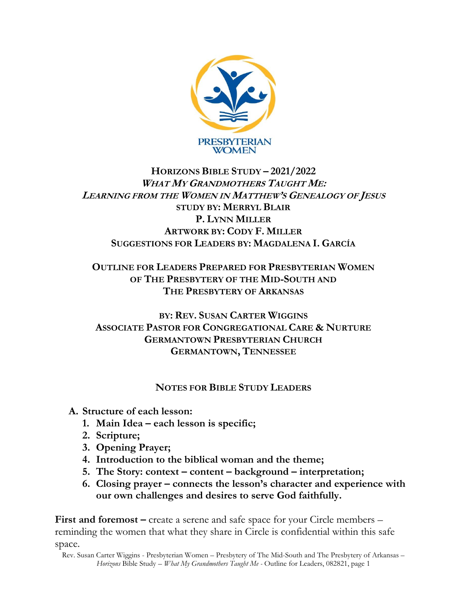

### **HORIZONS BIBLE STUDY – 2021/2022 WHAT MY GRANDMOTHERS TAUGHT ME: LEARNING FROM THE WOMEN IN MATTHEW'S GENEALOGY OF JESUS STUDY BY: MERRYL BLAIR P. LYNN MILLER ARTWORK BY: CODY F. MILLER SUGGESTIONS FOR LEADERS BY: MAGDALENA I. GARCÍA**

### **OUTLINE FOR LEADERS PREPARED FOR PRESBYTERIAN WOMEN OF THE PRESBYTERY OF THE MID-SOUTH AND THE PRESBYTERY OF ARKANSAS**

### **BY: REV. SUSAN CARTER WIGGINS ASSOCIATE PASTOR FOR CONGREGATIONAL CARE & NURTURE GERMANTOWN PRESBYTERIAN CHURCH GERMANTOWN, TENNESSEE**

#### **NOTES FOR BIBLE STUDY LEADERS**

#### **A. Structure of each lesson:**

- **1. Main Idea – each lesson is specific;**
- **2. Scripture;**
- **3. Opening Prayer;**
- **4. Introduction to the biblical woman and the theme;**
- **5. The Story: context – content – background – interpretation;**
- **6. Closing prayer – connects the lesson's character and experience with our own challenges and desires to serve God faithfully.**

**First and foremost –** create a serene and safe space for your Circle members – reminding the women that what they share in Circle is confidential within this safe space.

Rev. Susan Carter Wiggins - Presbyterian Women – Presbytery of The Mid-South and The Presbytery of Arkansas – *Horizons* Bible Study – *What My Grandmothers Taught Me -* Outline for Leaders, 082821, page 1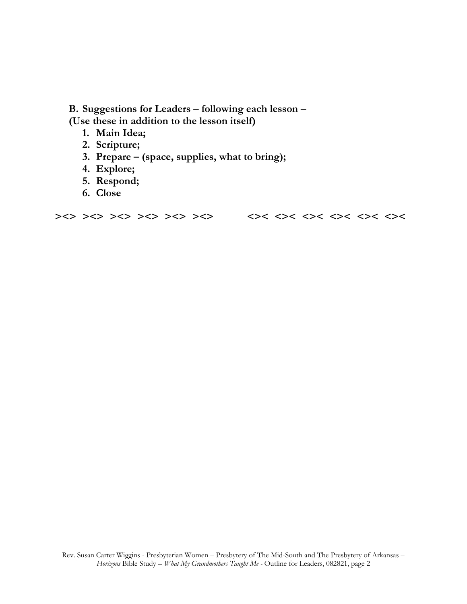**B. Suggestions for Leaders – following each lesson – (Use these in addition to the lesson itself)**

- **1. Main Idea;**
- **2. Scripture;**
- **3. Prepare – (space, supplies, what to bring);**
- **4. Explore;**
- **5. Respond;**
- **6. Close**

**><> ><> ><> ><> ><> ><> <>< <>< <>< <>< <>< <><**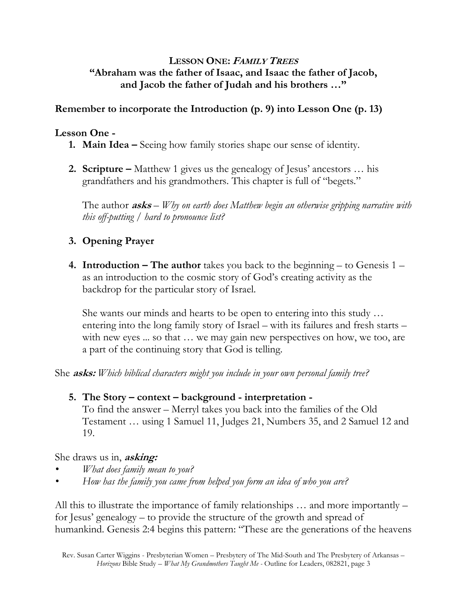### **LESSON ONE: <sup>F</sup>AMILY TREES "Abraham was the father of Isaac, and Isaac the father of Jacob, and Jacob the father of Judah and his brothers …"**

### **Remember to incorporate the Introduction (p. 9) into Lesson One (p. 13)**

#### **Lesson One -**

- **1. Main Idea –** Seeing how family stories shape our sense of identity.
- **2. Scripture –** Matthew 1 gives us the genealogy of Jesus' ancestors … his grandfathers and his grandmothers. This chapter is full of "begets."

The author **asks** *– Why on earth does Matthew begin an otherwise gripping narrative with this off-putting / hard to pronounce list?* 

## **3. Opening Prayer**

**4. Introduction – The author** takes you back to the beginning – to Genesis 1 – as an introduction to the cosmic story of God's creating activity as the backdrop for the particular story of Israel.

She wants our minds and hearts to be open to entering into this study … entering into the long family story of Israel – with its failures and fresh starts – with new eyes ... so that ... we may gain new perspectives on how, we too, are a part of the continuing story that God is telling.

She **asks:** *Which biblical characters might you include in your own personal family tree?*

#### **5. The Story – context – background - interpretation -**

To find the answer – Merryl takes you back into the families of the Old Testament … using 1 Samuel 11, Judges 21, Numbers 35, and 2 Samuel 12 and 19.

She draws us in, **asking:**

- *• What does family mean to you?*
- *• How has the family you came from helped you form an idea of who you are?*

All this to illustrate the importance of family relationships … and more importantly – for Jesus' genealogy – to provide the structure of the growth and spread of humankind. Genesis 2:4 begins this pattern: "These are the generations of the heavens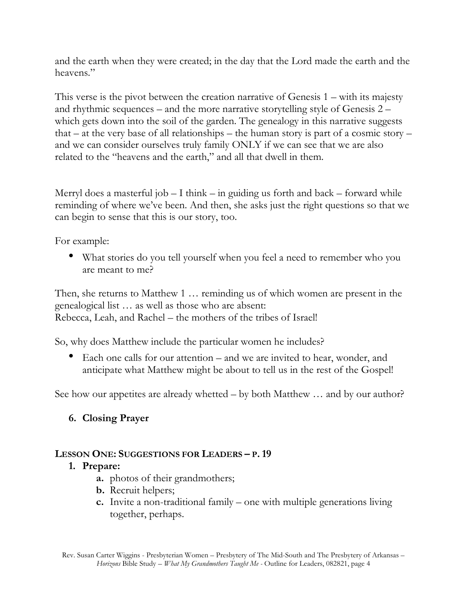and the earth when they were created; in the day that the Lord made the earth and the heavens."

This verse is the pivot between the creation narrative of Genesis 1 – with its majesty and rhythmic sequences – and the more narrative storytelling style of Genesis 2 – which gets down into the soil of the garden. The genealogy in this narrative suggests that – at the very base of all relationships – the human story is part of a cosmic story – and we can consider ourselves truly family ONLY if we can see that we are also related to the "heavens and the earth," and all that dwell in them.

Merryl does a masterful job – I think – in guiding us forth and back – forward while reminding of where we've been. And then, she asks just the right questions so that we can begin to sense that this is our story, too.

For example:

• What stories do you tell yourself when you feel a need to remember who you are meant to me?

Then, she returns to Matthew 1 … reminding us of which women are present in the genealogical list … as well as those who are absent: Rebecca, Leah, and Rachel – the mothers of the tribes of Israel!

So, why does Matthew include the particular women he includes?

• Each one calls for our attention – and we are invited to hear, wonder, and anticipate what Matthew might be about to tell us in the rest of the Gospel!

See how our appetites are already whetted – by both Matthew … and by our author?

## **6. Closing Prayer**

#### **LESSON ONE: SUGGESTIONS FOR LEADERS – P.19**

## **1. Prepare:**

- **a.** photos of their grandmothers;
- **b.** Recruit helpers;
- **c.** Invite a non-traditional family one with multiple generations living together, perhaps.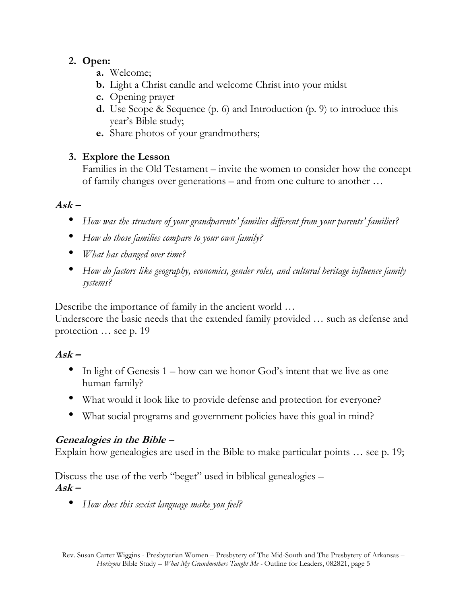## **2. Open:**

- **a.** Welcome;
- **b.** Light a Christ candle and welcome Christ into your midst
- **c.** Opening prayer
- **d.** Use Scope & Sequence (p. 6) and Introduction (p. 9) to introduce this year's Bible study;
- **e.** Share photos of your grandmothers;

# **3. Explore the Lesson**

Families in the Old Testament – invite the women to consider how the concept of family changes over generations – and from one culture to another …

# **Ask –**

- *How was the structure of your grandparents' families different from your parents' families?*
- *How do those families compare to your own family?*
- *What has changed over time?*
- *How do factors like geography, economics, gender roles, and cultural heritage influence family systems?*

Describe the importance of family in the ancient world …

Underscore the basic needs that the extended family provided … such as defense and protection … see p. 19

# $Ask -$

- In light of Genesis  $1 how can we honor God's intent that we live as one$ human family?
- What would it look like to provide defense and protection for everyone?
- What social programs and government policies have this goal in mind?

# **Genealogies in the Bible –**

Explain how genealogies are used in the Bible to make particular points … see p. 19;

Discuss the use of the verb "beget" used in biblical genealogies –  $Ask -$ 

• *How does this sexist language make you feel?*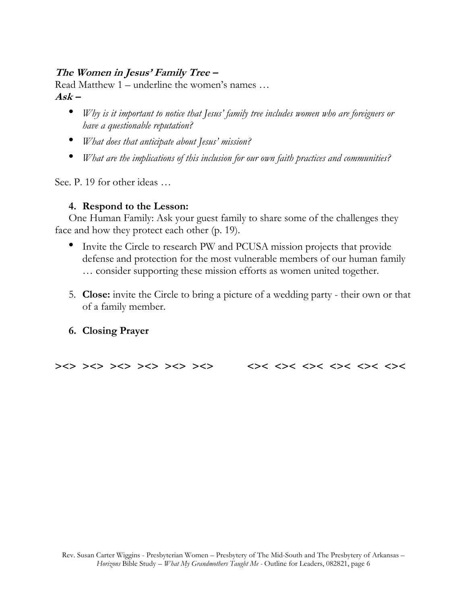### **The Women in Jesus' Family Tree –**

Read Matthew 1 – underline the women's names … **Ask –**

- *Why is it important to notice that Jesus' family tree includes women who are foreigners or have a questionable reputation?*
- *What does that anticipate about Jesus' mission?*
- *What are the implications of this inclusion for our own faith practices and communities?*

See. P. 19 for other ideas …

#### **4. Respond to the Lesson:**

One Human Family: Ask your guest family to share some of the challenges they face and how they protect each other (p. 19).

- Invite the Circle to research PW and PCUSA mission projects that provide defense and protection for the most vulnerable members of our human family … consider supporting these mission efforts as women united together.
- 5. **Close:** invite the Circle to bring a picture of a wedding party their own or that of a family member.

**6. Closing Prayer**

**><> ><> ><> ><> ><> ><> <>< <>< <>< <>< <>< <><**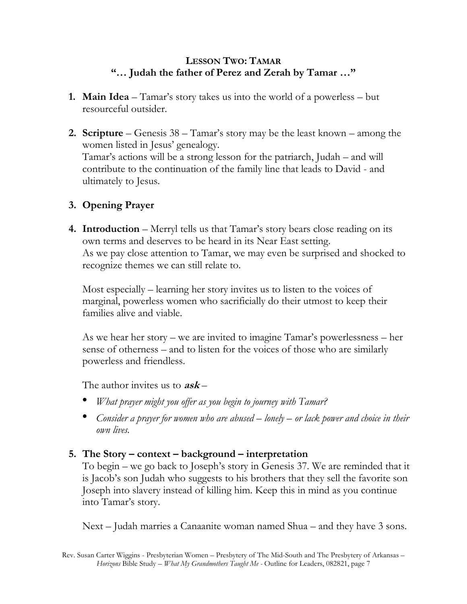### **LESSON TWO: TAMAR "… Judah the father of Perez and Zerah by Tamar …"**

- **1. Main Idea** Tamar's story takes us into the world of a powerless but resourceful outsider.
- **2. Scripture** Genesis 38 Tamar's story may be the least known among the women listed in Jesus' genealogy. Tamar's actions will be a strong lesson for the patriarch, Judah – and will contribute to the continuation of the family line that leads to David - and ultimately to Jesus.

## **3. Opening Prayer**

**4. Introduction** – Merryl tells us that Tamar's story bears close reading on its own terms and deserves to be heard in its Near East setting. As we pay close attention to Tamar, we may even be surprised and shocked to recognize themes we can still relate to.

Most especially – learning her story invites us to listen to the voices of marginal, powerless women who sacrificially do their utmost to keep their families alive and viable.

As we hear her story – we are invited to imagine Tamar's powerlessness – her sense of otherness – and to listen for the voices of those who are similarly powerless and friendless.

The author invites us to **ask** –

- *What prayer might you offer as you begin to journey with Tamar?*
- Consider a prayer for women who are abused lonely or lack power and choice in their *own lives.*

## **5. The Story – context – background – interpretation**

To begin – we go back to Joseph's story in Genesis 37. We are reminded that it is Jacob's son Judah who suggests to his brothers that they sell the favorite son Joseph into slavery instead of killing him. Keep this in mind as you continue into Tamar's story.

Next – Judah marries a Canaanite woman named Shua – and they have 3 sons.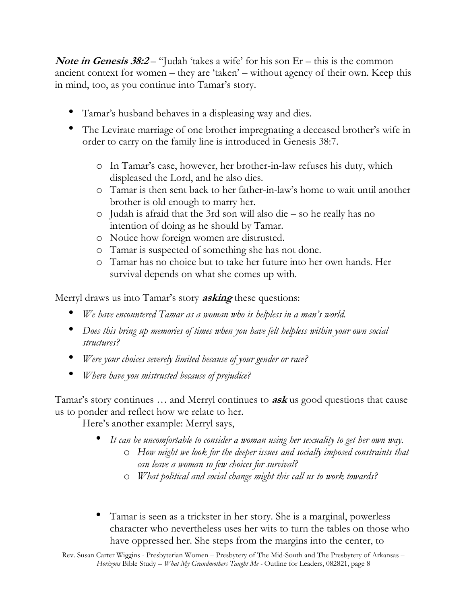**Note in Genesis 38:2** – "Judah 'takes a wife' for his son Er – this is the common ancient context for women – they are 'taken' – without agency of their own. Keep this in mind, too, as you continue into Tamar's story.

- Tamar's husband behaves in a displeasing way and dies.
- The Levirate marriage of one brother impregnating a deceased brother's wife in order to carry on the family line is introduced in Genesis 38:7.
	- o In Tamar's case, however, her brother-in-law refuses his duty, which displeased the Lord, and he also dies.
	- o Tamar is then sent back to her father-in-law's home to wait until another brother is old enough to marry her.
	- o Judah is afraid that the 3rd son will also die so he really has no intention of doing as he should by Tamar.
	- o Notice how foreign women are distrusted.
	- o Tamar is suspected of something she has not done.
	- o Tamar has no choice but to take her future into her own hands. Her survival depends on what she comes up with.

Merryl draws us into Tamar's story **asking** these questions:

- *We have encountered Tamar as a woman who is helpless in a man's world.*
- *Does this bring up memories of times when you have felt helpless within your own social structures?*
- *Were your choices severely limited because of your gender or race?*
- *Where have you mistrusted because of prejudice?*

Tamar's story continues … and Merryl continues to **ask** us good questions that cause us to ponder and reflect how we relate to her.

Here's another example: Merryl says,

- *It can be uncomfortable to consider a woman using her sexuality to get her own way.*
	- o *How might we look for the deeper issues and socially imposed constraints that can leave a woman so few choices for survival?*
	- o *What political and social change might this call us to work towards?*
- Tamar is seen as a trickster in her story. She is a marginal, powerless character who nevertheless uses her wits to turn the tables on those who have oppressed her. She steps from the margins into the center, to

Rev. Susan Carter Wiggins - Presbyterian Women – Presbytery of The Mid-South and The Presbytery of Arkansas – *Horizons* Bible Study – *What My Grandmothers Taught Me -* Outline for Leaders, 082821, page 8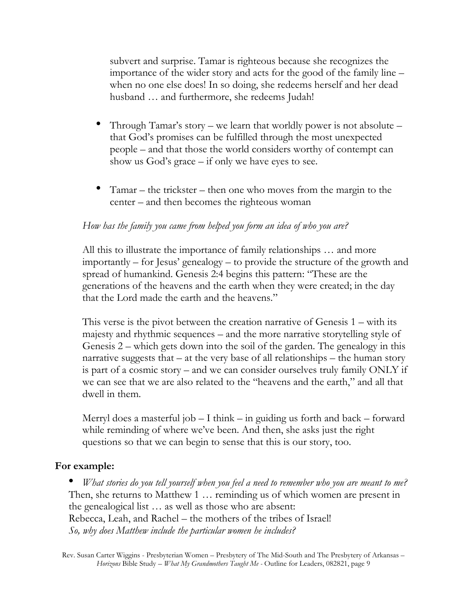subvert and surprise. Tamar is righteous because she recognizes the importance of the wider story and acts for the good of the family line – when no one else does! In so doing, she redeems herself and her dead husband … and furthermore, she redeems Judah!

- Through Tamar's story we learn that worldly power is not absolute that God's promises can be fulfilled through the most unexpected people – and that those the world considers worthy of contempt can show us God's grace – if only we have eyes to see.
- Tamar the trickster then one who moves from the margin to the center – and then becomes the righteous woman

### *How has the family you came from helped you form an idea of who you are?*

All this to illustrate the importance of family relationships … and more importantly – for Jesus' genealogy – to provide the structure of the growth and spread of humankind. Genesis 2:4 begins this pattern: "These are the generations of the heavens and the earth when they were created; in the day that the Lord made the earth and the heavens."

This verse is the pivot between the creation narrative of Genesis 1 – with its majesty and rhythmic sequences – and the more narrative storytelling style of Genesis 2 – which gets down into the soil of the garden. The genealogy in this narrative suggests that  $-$  at the very base of all relationships  $-$  the human story is part of a cosmic story – and we can consider ourselves truly family ONLY if we can see that we are also related to the "heavens and the earth," and all that dwell in them.

Merryl does a masterful job – I think – in guiding us forth and back – forward while reminding of where we've been. And then, she asks just the right questions so that we can begin to sense that this is our story, too.

#### **For example:**

• *What stories do you tell yourself when you feel a need to remember who you are meant to me?* Then, she returns to Matthew 1 … reminding us of which women are present in the genealogical list … as well as those who are absent: Rebecca, Leah, and Rachel – the mothers of the tribes of Israel! *So, why does Matthew include the particular women he includes?* 

Rev. Susan Carter Wiggins - Presbyterian Women – Presbytery of The Mid-South and The Presbytery of Arkansas – *Horizons* Bible Study – *What My Grandmothers Taught Me -* Outline for Leaders, 082821, page 9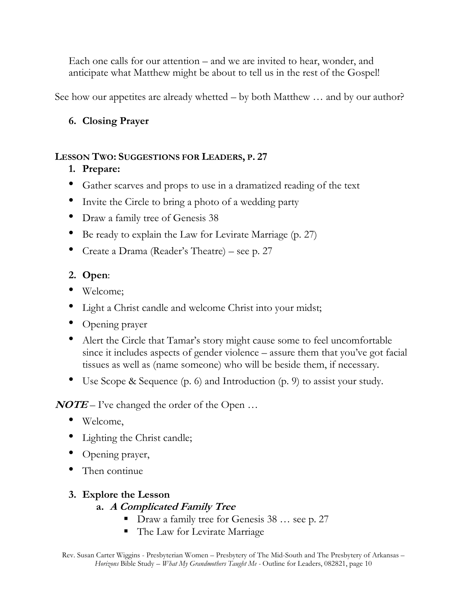Each one calls for our attention – and we are invited to hear, wonder, and anticipate what Matthew might be about to tell us in the rest of the Gospel!

See how our appetites are already whetted – by both Matthew … and by our author?

## **6. Closing Prayer**

### **LESSON TWO: SUGGESTIONS FOR LEADERS, P. 27**

## **1. Prepare:**

- Gather scarves and props to use in a dramatized reading of the text
- Invite the Circle to bring a photo of a wedding party
- Draw a family tree of Genesis 38
- Be ready to explain the Law for Levirate Marriage (p. 27)
- Create a Drama (Reader's Theatre) see p. 27

## **2. Open**:

- Welcome:
- Light a Christ candle and welcome Christ into your midst;
- Opening prayer
- Alert the Circle that Tamar's story might cause some to feel uncomfortable since it includes aspects of gender violence – assure them that you've got facial tissues as well as (name someone) who will be beside them, if necessary.
- Use Scope & Sequence (p. 6) and Introduction (p. 9) to assist your study.

**NOTE** – I've changed the order of the Open …

- Welcome.
- Lighting the Christ candle;
- Opening prayer,
- Then continue

## **3. Explore the Lesson**

- **a. A Complicated Family Tree**
	- Draw a family tree for Genesis 38 ... see p. 27
	- The Law for Levirate Marriage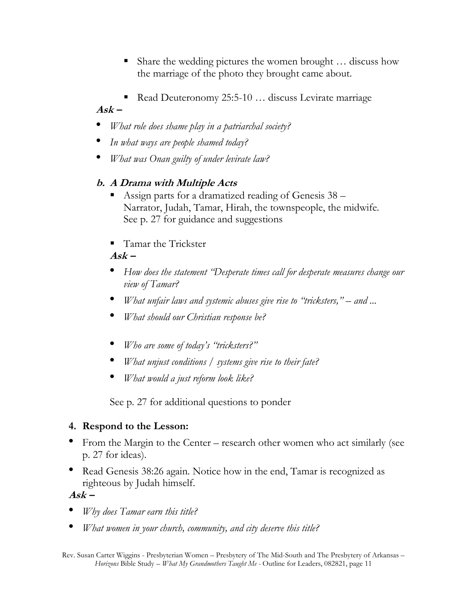- Share the wedding pictures the women brought ... discuss how the marriage of the photo they brought came about.
- Read Deuteronomy 25:5-10 ... discuss Levirate marriage

## $Ask -$

- *What role does shame play in a patriarchal society?*
- *In what ways are people shamed today?*
- *What was Onan guilty of under levirate law?*

### **b. A Drama with Multiple Acts**

- Assign parts for a dramatized reading of Genesis 38 Narrator, Judah, Tamar, Hirah, the townspeople, the midwife. See p. 27 for guidance and suggestions
- Tamar the Trickster

## $Ask -$

- *How does the statement "Desperate times call for desperate measures change our view of Tamar?*
- *What unfair laws and systemic abuses give rise to "tricksters," – and ...*
- *What should our Christian response be?*
- *Who are some of today's "tricksters?"*
- *What unjust conditions / systems give rise to their fate?*
- *What would a just reform look like?*

See p. 27 for additional questions to ponder

## **4. Respond to the Lesson:**

- From the Margin to the Center research other women who act similarly (see p. 27 for ideas).
- Read Genesis 38:26 again. Notice how in the end, Tamar is recognized as righteous by Judah himself.

## $Ask -$

- *Why does Tamar earn this title?*
- *What women in your church, community, and city deserve this title?*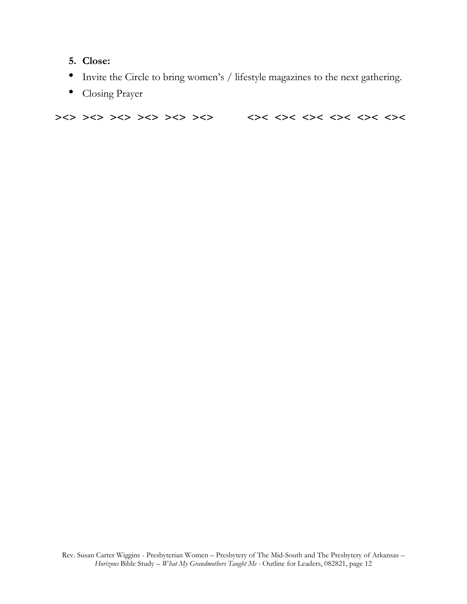### **5. Close:**

- Invite the Circle to bring women's / lifestyle magazines to the next gathering.
- Closing Prayer

**><> ><> ><> ><> ><> ><> <>< <>< <>< <>< <>< <><**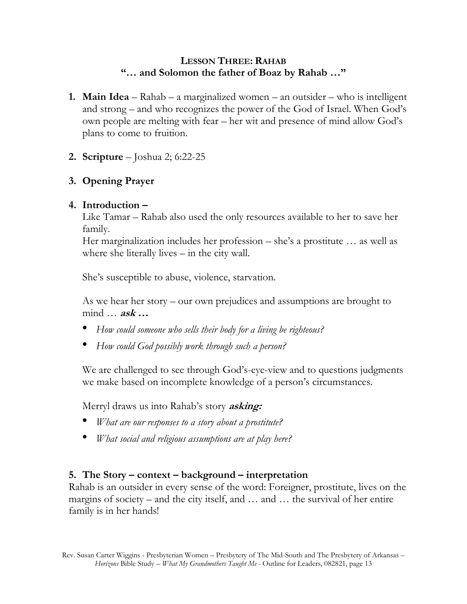### **LESSON THREE: RAHAB "… and Solomon the father of Boaz by Rahab …"**

- **1. Main Idea** Rahab a marginalized women an outsider who is intelligent and strong – and who recognizes the power of the God of Israel. When God's own people are melting with fear – her wit and presence of mind allow God's plans to come to fruition.
- **2. Scripture** Joshua 2; 6:22-25

## **3. Opening Prayer**

### **4. Introduction –**

Like Tamar – Rahab also used the only resources available to her to save her family.

Her marginalization includes her profession – she's a prostitute … as well as where she literally lives – in the city wall.

She's susceptible to abuse, violence, starvation.

As we hear her story – our own prejudices and assumptions are brought to mind … **ask …** 

- *How could someone who sells their body for a living be righteous?*
- *How could God possibly work through such a person?*

We are challenged to see through God's-eye-view and to questions judgments we make based on incomplete knowledge of a person's circumstances.

Merryl draws us into Rahab's story **asking:**

- *What are our responses to a story about a prostitute?*
- *What social and religious assumptions are at play here?*

## **5. The Story – context – background – interpretation**

Rahab is an outsider in every sense of the word: Foreigner, prostitute, lives on the margins of society – and the city itself, and … and … the survival of her entire family is in her hands!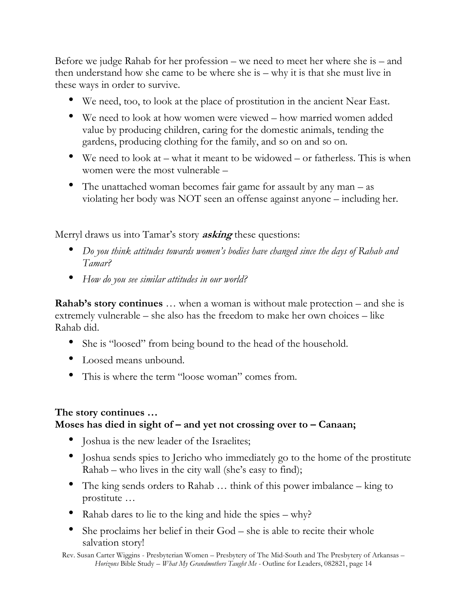Before we judge Rahab for her profession – we need to meet her where she is – and then understand how she came to be where she is – why it is that she must live in these ways in order to survive.

- We need, too, to look at the place of prostitution in the ancient Near East.
- We need to look at how women were viewed how married women added value by producing children, caring for the domestic animals, tending the gardens, producing clothing for the family, and so on and so on.
- We need to look at  $-$  what it meant to be widowed  $-$  or fatherless. This is when women were the most vulnerable –
- The unattached woman becomes fair game for assault by any man as violating her body was NOT seen an offense against anyone – including her.

Merryl draws us into Tamar's story **asking** these questions:

- *Do you think attitudes towards women's bodies have changed since the days of Rahab and Tamar?*
- *How do you see similar attitudes in our world?*

**Rahab's story continues** … when a woman is without male protection – and she is extremely vulnerable – she also has the freedom to make her own choices – like Rahab did.

- She is "loosed" from being bound to the head of the household.
- Loosed means unbound.
- This is where the term "loose woman" comes from.

### **The story continues … Moses has died in sight of – and yet not crossing over to – Canaan;**

- Joshua is the new leader of the Israelites;
- Joshua sends spies to Jericho who immediately go to the home of the prostitute Rahab – who lives in the city wall (she's easy to find);
- The king sends orders to Rahab … think of this power imbalance king to prostitute …
- Rahab dares to lie to the king and hide the spies why?
- She proclaims her belief in their God she is able to recite their whole salvation story!

Rev. Susan Carter Wiggins - Presbyterian Women – Presbytery of The Mid-South and The Presbytery of Arkansas – *Horizons* Bible Study – *What My Grandmothers Taught Me -* Outline for Leaders, 082821, page 14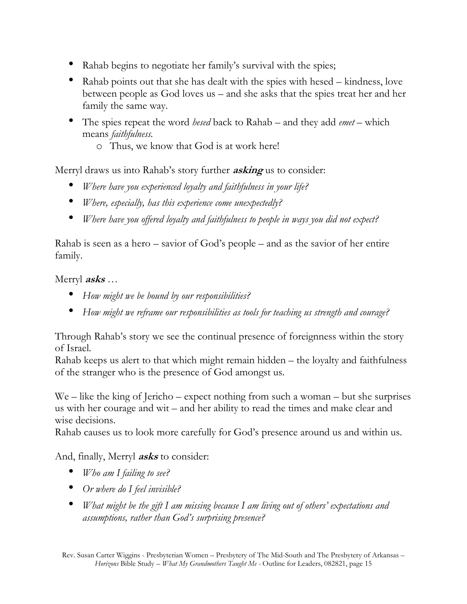- Rahab begins to negotiate her family's survival with the spies;
- Rahab points out that she has dealt with the spies with hesed kindness, love between people as God loves us – and she asks that the spies treat her and her family the same way.
- The spies repeat the word *hesed* back to Rahab and they add *emet* which means *faithfulness.* 
	- o Thus, we know that God is at work here!

Merryl draws us into Rahab's story further **asking** us to consider:

- *Where have you experienced loyalty and faithfulness in your life?*
- *Where, especially, has this experience come unexpectedly?*
- *Where have you offered loyalty and faithfulness to people in ways you did not expect?*

Rahab is seen as a hero – savior of God's people – and as the savior of her entire family.

Merryl **asks** …

- *How might we be bound by our responsibilities?*
- *How might we reframe our responsibilities as tools for teaching us strength and courage?*

Through Rahab's story we see the continual presence of foreignness within the story of Israel.

Rahab keeps us alert to that which might remain hidden – the loyalty and faithfulness of the stranger who is the presence of God amongst us.

We – like the king of Jericho – expect nothing from such a woman – but she surprises us with her courage and wit – and her ability to read the times and make clear and wise decisions.

Rahab causes us to look more carefully for God's presence around us and within us.

And, finally, Merryl **asks** to consider:

- *Who am I failing to see?*
- *Or where do I feel invisible?*
- *What might be the gift I am missing because I am living out of others' expectations and assumptions, rather than God's surprising presence?*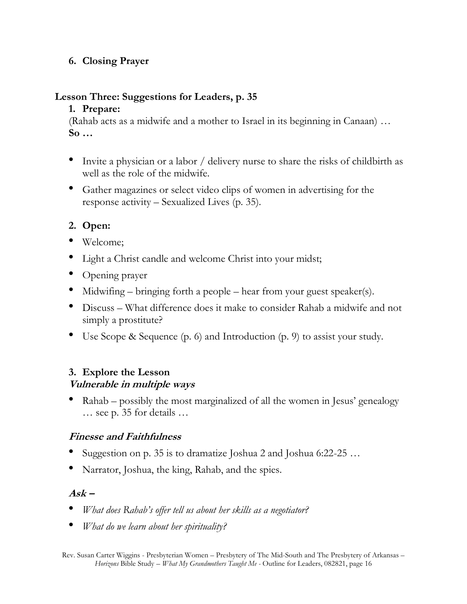## **6. Closing Prayer**

### **Lesson Three: Suggestions for Leaders, p. 35**

### **1. Prepare:**

(Rahab acts as a midwife and a mother to Israel in its beginning in Canaan) … **So …** 

- Invite a physician or a labor / delivery nurse to share the risks of childbirth as well as the role of the midwife.
- Gather magazines or select video clips of women in advertising for the response activity – Sexualized Lives (p. 35).

## **2. Open:**

- Welcome:
- Light a Christ candle and welcome Christ into your midst;
- Opening prayer
- Midwifing bringing forth a people hear from your guest speaker(s).
- Discuss What difference does it make to consider Rahab a midwife and not simply a prostitute?
- Use Scope & Sequence (p. 6) and Introduction (p. 9) to assist your study.

## **3. Explore the Lesson Vulnerable in multiple ways**

• Rahab – possibly the most marginalized of all the women in Jesus' genealogy … see p. 35 for details …

## **Finesse and Faithfulness**

- Suggestion on p. 35 is to dramatize Joshua 2 and Joshua 6:22-25 …
- Narrator, Joshua, the king, Rahab, and the spies.

## **Ask –**

- *What does Rahab's offer tell us about her skills as a negotiator?*
- *What do we learn about her spirituality?*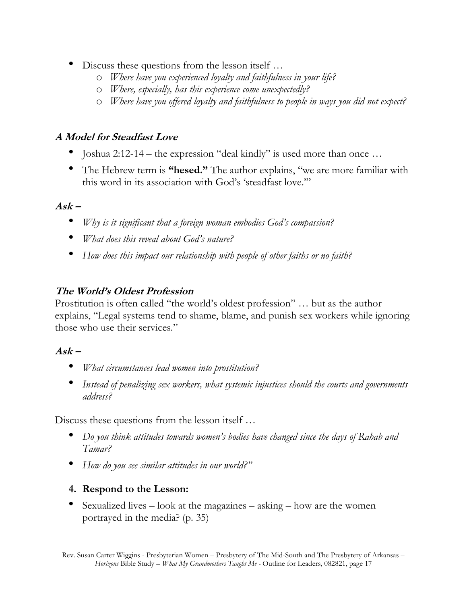- Discuss these questions from the lesson itself ...
	- o *Where have you experienced loyalty and faithfulness in your life?*
	- o *Where, especially, has this experience come unexpectedly?*
	- o *Where have you offered loyalty and faithfulness to people in ways you did not expect?*

## **A Model for Steadfast Love**

- Joshua 2:12-14 the expression "deal kindly" is used more than once …
- The Hebrew term is **"hesed."** The author explains, "we are more familiar with this word in its association with God's 'steadfast love.'"

## $Ask -$

- *Why is it significant that a foreign woman embodies God's compassion?*
- *What does this reveal about God's nature?*
- *How does this impact our relationship with people of other faiths or no faith?*

## **The World's Oldest Profession**

Prostitution is often called "the world's oldest profession" … but as the author explains, "Legal systems tend to shame, blame, and punish sex workers while ignoring those who use their services."

## $Ask -$

- *What circumstances lead women into prostitution?*
- *Instead of penalizing sex workers, what systemic injustices should the courts and governments address?*

Discuss these questions from the lesson itself ...

- *Do you think attitudes towards women's bodies have changed since the days of Rahab and Tamar?*
- *How do you see similar attitudes in our world?"*

## **4. Respond to the Lesson:**

• Sexualized lives – look at the magazines – asking – how are the women portrayed in the media? (p. 35)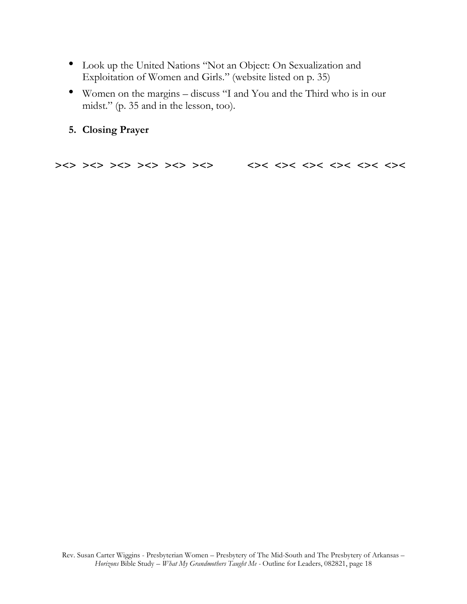- Look up the United Nations "Not an Object: On Sexualization and Exploitation of Women and Girls." (website listed on p. 35)
- Women on the margins discuss "I and You and the Third who is in our midst." (p. 35 and in the lesson, too).

**5. Closing Prayer**

**><> ><> ><> ><> ><> ><> <>< <>< <>< <>< <>< <><**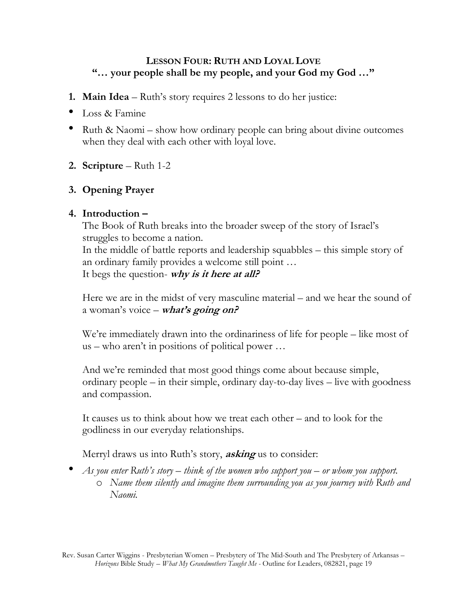### **LESSON FOUR: RUTH AND LOYAL LOVE "… your people shall be my people, and your God my God …"**

- **1. Main Idea** Ruth's story requires 2 lessons to do her justice:
- Loss & Famine
- Ruth & Naomi show how ordinary people can bring about divine outcomes when they deal with each other with loyal love.
- **2. Scripture** Ruth 1-2

### **3. Opening Prayer**

#### **4. Introduction –**

The Book of Ruth breaks into the broader sweep of the story of Israel's struggles to become a nation.

In the middle of battle reports and leadership squabbles – this simple story of an ordinary family provides a welcome still point … It begs the question- **why is it here at all?**

Here we are in the midst of very masculine material – and we hear the sound of a woman's voice – **what's going on?**

We're immediately drawn into the ordinariness of life for people – like most of us – who aren't in positions of political power …

And we're reminded that most good things come about because simple, ordinary people – in their simple, ordinary day-to-day lives – live with goodness and compassion.

It causes us to think about how we treat each other – and to look for the godliness in our everyday relationships.

Merryl draws us into Ruth's story, **asking** us to consider:

- *As you enter Ruth's story – think of the women who support you – or whom you support.* 
	- o *Name them silently and imagine them surrounding you as you journey with Ruth and Naomi.*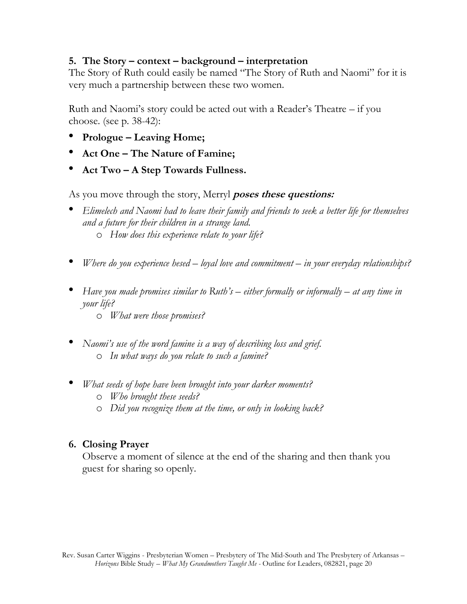#### **5. The Story – context – background – interpretation**

The Story of Ruth could easily be named "The Story of Ruth and Naomi" for it is very much a partnership between these two women.

Ruth and Naomi's story could be acted out with a Reader's Theatre – if you choose. (see p. 38-42):

- **Prologue – Leaving Home;**
- **Act One – The Nature of Famine;**
- **Act Two – A Step Towards Fullness.**

As you move through the story, Merryl **poses these questions:**

- *Elimelech and Naomi had to leave their family and friends to seek a better life for themselves and a future for their children in a strange land.*
	- o *How does this experience relate to your life?*
- *Where do you experience hesed – loyal love and commitment – in your everyday relationships?*
- Have you made promises similar to Ruth's either formally or informally at any time in *your life?*
	- o *What were those promises?*
- *Naomi's use of the word famine is a way of describing loss and grief.* o *In what ways do you relate to such a famine?*
- *What seeds of hope have been brought into your darker moments?*
	- o *Who brought these seeds?*
	- o *Did you recognize them at the time, or only in looking back?*

#### **6. Closing Prayer**

Observe a moment of silence at the end of the sharing and then thank you guest for sharing so openly.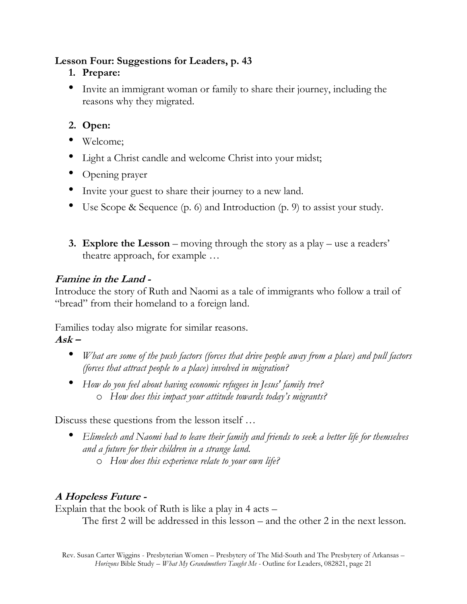## **Lesson Four: Suggestions for Leaders, p. 43**

- **1. Prepare:**
- Invite an immigrant woman or family to share their journey, including the reasons why they migrated.

## **2. Open:**

- Welcome;
- Light a Christ candle and welcome Christ into your midst;
- Opening prayer
- Invite your guest to share their journey to a new land.
- Use Scope & Sequence (p. 6) and Introduction (p. 9) to assist your study.
- **3. Explore the Lesson** moving through the story as a play use a readers' theatre approach, for example …

## **Famine in the Land -**

Introduce the story of Ruth and Naomi as a tale of immigrants who follow a trail of "bread" from their homeland to a foreign land.

Families today also migrate for similar reasons.

## **Ask –**

- *What are some of the push factors (forces that drive people away from a place) and pull factors (forces that attract people to a place) involved in migration?*
- *How do you feel about having economic refugees in Jesus' family tree?* o *How does this impact your attitude towards today's migrants?*

Discuss these questions from the lesson itself …

- *Elimelech and Naomi had to leave their family and friends to seek a better life for themselves and a future for their children in a strange land.*
	- o *How does this experience relate to your own life?*

## **A Hopeless Future -**

Explain that the book of Ruth is like a play in  $4 \text{ acts} -$ 

The first 2 will be addressed in this lesson – and the other 2 in the next lesson.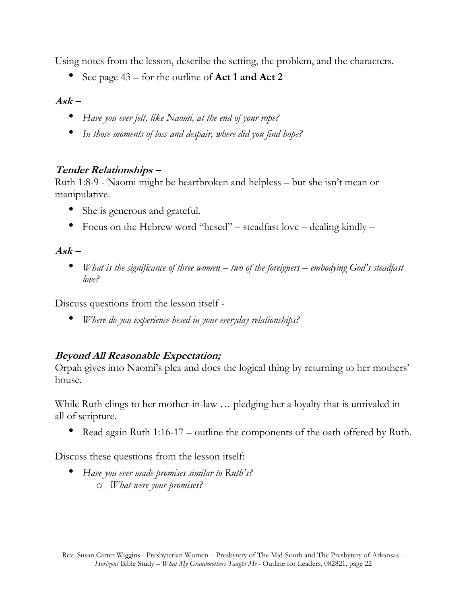Using notes from the lesson, describe the setting, the problem, and the characters.

• See page 43 – for the outline of **Act 1 and Act 2** 

## $Ask -$

- *Have you ever felt, like Naomi, at the end of your rope?*
- *In those moments of loss and despair, where did you find hope?*

## **Tender Relationships –**

Ruth 1:8-9 - Naomi might be heartbroken and helpless – but she isn't mean or manipulative.

- She is generous and grateful.
- Focus on the Hebrew word "hesed" steadfast love dealing kindly –

## $Ask -$

• *What is the significance of three women – two of the foreigners – embodying God's steadfast love?*

Discuss questions from the lesson itself -

• *Where do you experience hesed in your everyday relationships?*

## **Beyond All Reasonable Expectation;**

Orpah gives into Naomi's plea and does the logical thing by returning to her mothers' house.

While Ruth clings to her mother-in-law ... pledging her a loyalty that is unrivaled in all of scripture.

• Read again Ruth 1:16-17 – outline the components of the oath offered by Ruth.

Discuss these questions from the lesson itself:

• *Have you ever made promises similar to Ruth's?* o *What were your promises?*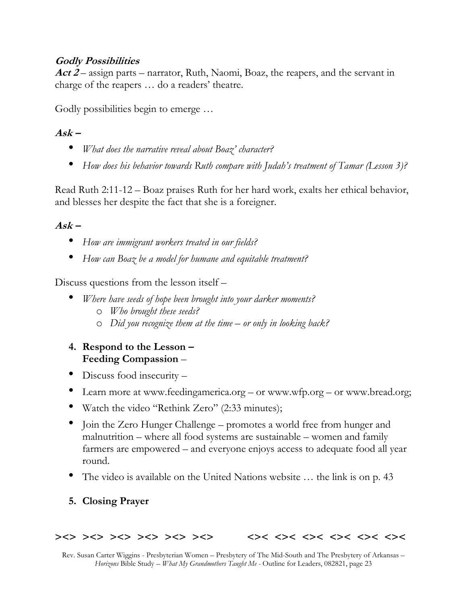#### **Godly Possibilities**

**Act 2** – assign parts – narrator, Ruth, Naomi, Boaz, the reapers, and the servant in charge of the reapers … do a readers' theatre.

Godly possibilities begin to emerge …

### $Ask -$

- *What does the narrative reveal about Boaz' character?*
- *How does his behavior towards Ruth compare with Judah's treatment of Tamar (Lesson 3)?*

Read Ruth 2:11-12 – Boaz praises Ruth for her hard work, exalts her ethical behavior, and blesses her despite the fact that she is a foreigner.

### $Ask -$

- *How are immigrant workers treated in our fields?*
- *How can Boaz be a model for humane and equitable treatment?*

Discuss questions from the lesson itself –

- *Where have seeds of hope been brought into your darker moments?*
	- o *Who brought these seeds?*
	- o *Did you recognize them at the time – or only in looking back?*
- **4. Respond to the Lesson – Feeding Compassion** –
- Discuss food insecurity –
- Learn more at www.feedingamerica.org or www.wfp.org or www.bread.org;
- Watch the video "Rethink Zero" (2:33 minutes);
- Join the Zero Hunger Challenge promotes a world free from hunger and malnutrition – where all food systems are sustainable – women and family farmers are empowered – and everyone enjoys access to adequate food all year round.
- The video is available on the United Nations website … the link is on p. 43
- **5. Closing Prayer**

#### **><> ><> ><> ><> ><> ><> <>< <>< <>< <>< <>< <><**

Rev. Susan Carter Wiggins - Presbyterian Women – Presbytery of The Mid-South and The Presbytery of Arkansas – *Horizons* Bible Study – *What My Grandmothers Taught Me -* Outline for Leaders, 082821, page 23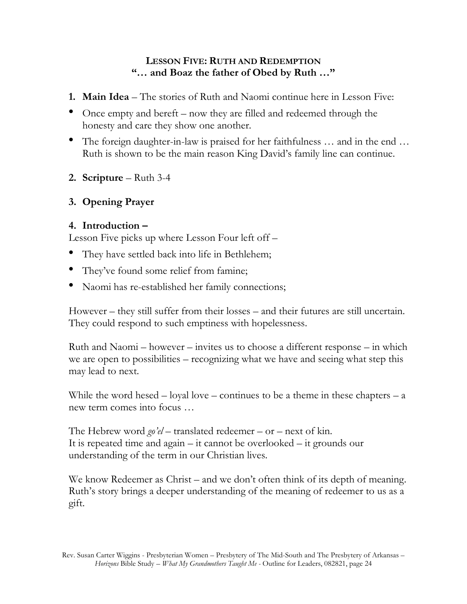#### **LESSON FIVE: RUTH AND REDEMPTION "… and Boaz the father of Obed by Ruth …"**

- **1. Main Idea** The stories of Ruth and Naomi continue here in Lesson Five:
- Once empty and bereft now they are filled and redeemed through the honesty and care they show one another.
- The foreign daughter-in-law is praised for her faithfulness … and in the end … Ruth is shown to be the main reason King David's family line can continue.
- **2. Scripture** Ruth 3-4

## **3. Opening Prayer**

## **4. Introduction –**

Lesson Five picks up where Lesson Four left off –

- They have settled back into life in Bethlehem;
- They've found some relief from famine;
- Naomi has re-established her family connections;

However – they still suffer from their losses – and their futures are still uncertain. They could respond to such emptiness with hopelessness.

Ruth and Naomi – however – invites us to choose a different response – in which we are open to possibilities – recognizing what we have and seeing what step this may lead to next.

While the word hesed – loyal love – continues to be a theme in these chapters –  $a$ new term comes into focus …

The Hebrew word *go'el* – translated redeemer – or – next of kin. It is repeated time and again – it cannot be overlooked – it grounds our understanding of the term in our Christian lives.

We know Redeemer as Christ – and we don't often think of its depth of meaning. Ruth's story brings a deeper understanding of the meaning of redeemer to us as a gift.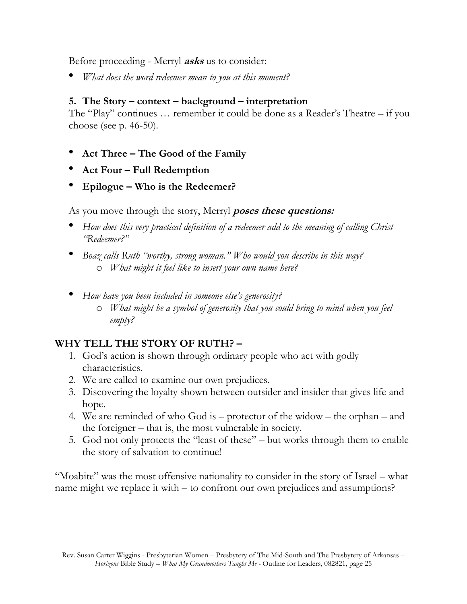Before proceeding - Merryl **asks** us to consider:

• *What does the word redeemer mean to you at this moment?*

## **5. The Story – context – background – interpretation**

The "Play" continues … remember it could be done as a Reader's Theatre – if you choose (see p. 46-50).

- **Act Three – The Good of the Family**
- Act Four Full Redemption
- **Epilogue – Who is the Redeemer?**

As you move through the story, Merryl **poses these questions:**

- *How does this very practical definition of a redeemer add to the meaning of calling Christ "Redeemer?"*
- *Boaz calls Ruth "worthy, strong woman." Who would you describe in this way?* o *What might it feel like to insert your own name here?*
- *How have you been included in someone else's generosity?*
	- o *What might be a symbol of generosity that you could bring to mind when you feel empty?*

## **WHY TELL THE STORY OF RUTH? –**

- 1. God's action is shown through ordinary people who act with godly characteristics.
- 2. We are called to examine our own prejudices.
- 3. Discovering the loyalty shown between outsider and insider that gives life and hope.
- 4. We are reminded of who God is protector of the widow the orphan and the foreigner – that is, the most vulnerable in society.
- 5. God not only protects the "least of these" but works through them to enable the story of salvation to continue!

"Moabite" was the most offensive nationality to consider in the story of Israel – what name might we replace it with – to confront our own prejudices and assumptions?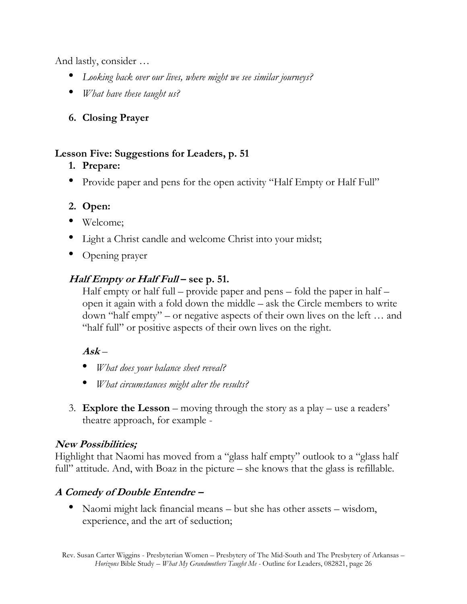And lastly, consider …

- *Looking back over our lives, where might we see similar journeys?*
- *What have these taught us?*

## **6. Closing Prayer**

## **Lesson Five: Suggestions for Leaders, p. 51**

- **1. Prepare:**
- Provide paper and pens for the open activity "Half Empty or Half Full"

## **2. Open:**

- Welcome;
- Light a Christ candle and welcome Christ into your midst;
- Opening prayer

## **Half Empty or Half Full – see p. 51.**

Half empty or half full – provide paper and pens – fold the paper in half – open it again with a fold down the middle – ask the Circle members to write down "half empty" – or negative aspects of their own lives on the left … and "half full" or positive aspects of their own lives on the right.

## $Ask -$

- *What does your balance sheet reveal?*
- *What circumstances might alter the results?*
- 3. **Explore the Lesson** moving through the story as a play use a readers' theatre approach, for example -

## **New Possibilities;**

Highlight that Naomi has moved from a "glass half empty" outlook to a "glass half full" attitude. And, with Boaz in the picture – she knows that the glass is refillable.

## **A Comedy of Double Entendre –**

• Naomi might lack financial means – but she has other assets – wisdom, experience, and the art of seduction;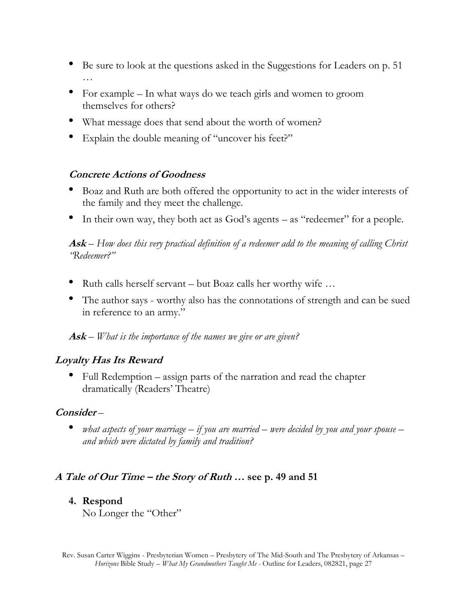- Be sure to look at the questions asked in the Suggestions for Leaders on p. 51 …
- For example In what ways do we teach girls and women to groom themselves for others?
- What message does that send about the worth of women?
- Explain the double meaning of "uncover his feet?"

### **Concrete Actions of Goodness**

- Boaz and Ruth are both offered the opportunity to act in the wider interests of the family and they meet the challenge.
- In their own way, they both act as God's agents as "redeemer" for a people.

**Ask** – *How does this very practical definition of a redeemer add to the meaning of calling Christ "Redeemer?"*

- Ruth calls herself servant but Boaz calls her worthy wife ...
- The author says worthy also has the connotations of strength and can be sued in reference to an army."

**Ask** – *What is the importance of the names we give or are given?* 

## **Loyalty Has Its Reward**

• Full Redemption – assign parts of the narration and read the chapter dramatically (Readers' Theatre)

## **Consider** –

• *what aspects of your marriage – if you are married – were decided by you and your spouse – and which were dictated by family and tradition?*

## **A Tale of Our Time – the Story of Ruth … see p. 49 and 51**

## **4. Respond**

No Longer the "Other"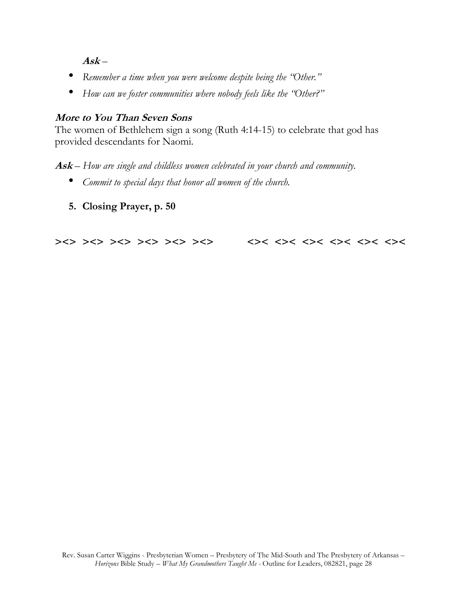#### **Ask** –

- *Remember a time when you were welcome despite being the "Other."*
- *How can we foster communities where nobody feels like the "Other?"*

#### **More to You Than Seven Sons**

The women of Bethlehem sign a song (Ruth 4:14-15) to celebrate that god has provided descendants for Naomi.

**Ask** – *How are single and childless women celebrated in your church and community.*

- *Commit to special days that honor all women of the church.*
- **5. Closing Prayer, p. 50**

**><> ><> ><> ><> ><> ><> <>< <>< <>< <>< <>< <><**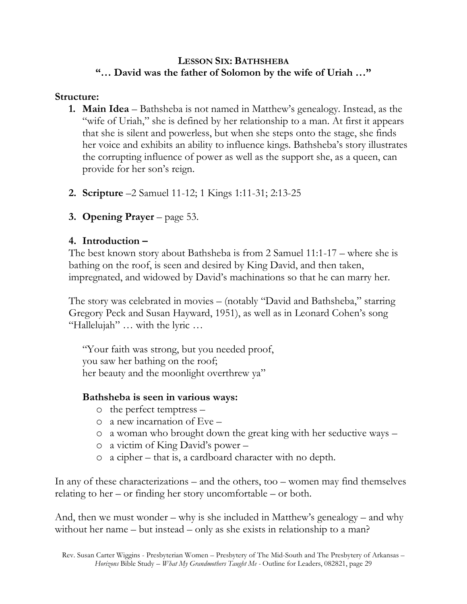### **LESSON SIX: BATHSHEBA "… David was the father of Solomon by the wife of Uriah …"**

#### **Structure:**

- **1. Main Idea**  Bathsheba is not named in Matthew's genealogy. Instead, as the "wife of Uriah," she is defined by her relationship to a man. At first it appears that she is silent and powerless, but when she steps onto the stage, she finds her voice and exhibits an ability to influence kings. Bathsheba's story illustrates the corrupting influence of power as well as the support she, as a queen, can provide for her son's reign.
- **2. Scripture** –2 Samuel 11-12; 1 Kings 1:11-31; 2:13-25
- **3. Opening Prayer**  page 53.

## **4. Introduction –**

The best known story about Bathsheba is from 2 Samuel 11:1-17 – where she is bathing on the roof, is seen and desired by King David, and then taken, impregnated, and widowed by David's machinations so that he can marry her.

The story was celebrated in movies – (notably "David and Bathsheba," starring Gregory Peck and Susan Hayward, 1951), as well as in Leonard Cohen's song "Hallelujah" … with the lyric …

"Your faith was strong, but you needed proof, you saw her bathing on the roof; her beauty and the moonlight overthrew ya"

## **Bathsheba is seen in various ways:**

- o the perfect temptress –
- o a new incarnation of Eve –
- o a woman who brought down the great king with her seductive ways –
- o a victim of King David's power –
- o a cipher that is, a cardboard character with no depth.

In any of these characterizations – and the others, too – women may find themselves relating to her – or finding her story uncomfortable – or both.

And, then we must wonder – why is she included in Matthew's genealogy – and why without her name – but instead – only as she exists in relationship to a man?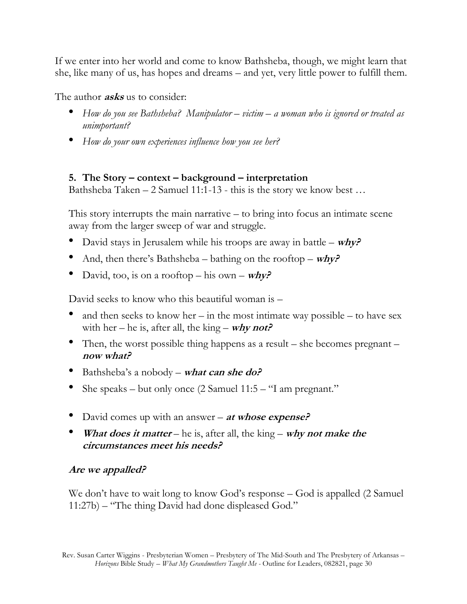If we enter into her world and come to know Bathsheba, though, we might learn that she, like many of us, has hopes and dreams – and yet, very little power to fulfill them.

The author **asks** us to consider:

- How do you see Bathsheba? Manipulator victim a woman who is ignored or treated as *unimportant?*
- *How do your own experiences influence how you see her?*

## **5. The Story – context – background – interpretation**

Bathsheba Taken – 2 Samuel 11:1-13 - this is the story we know best ...

This story interrupts the main narrative – to bring into focus an intimate scene away from the larger sweep of war and struggle.

- David stays in Jerusalem while his troops are away in battle **why?**
- And, then there's Bathsheba bathing on the rooftop **why?**
- David, too, is on a rooftop his own **why?**

David seeks to know who this beautiful woman is –

- and then seeks to know her in the most intimate way possible to have sex with her – he is, after all, the king – **why not?**
- Then, the worst possible thing happens as a result she becomes pregnant **now what?**
- Bathsheba's a nobody **what can she do?**
- She speaks but only once (2 Samuel 11:5 "I am pregnant."
- David comes up with an answer **at whose expense?**
- **What does it matter** he is, after all, the king **why not make the circumstances meet his needs?**

## **Are we appalled?**

We don't have to wait long to know God's response – God is appalled (2 Samuel 11:27b) – "The thing David had done displeased God."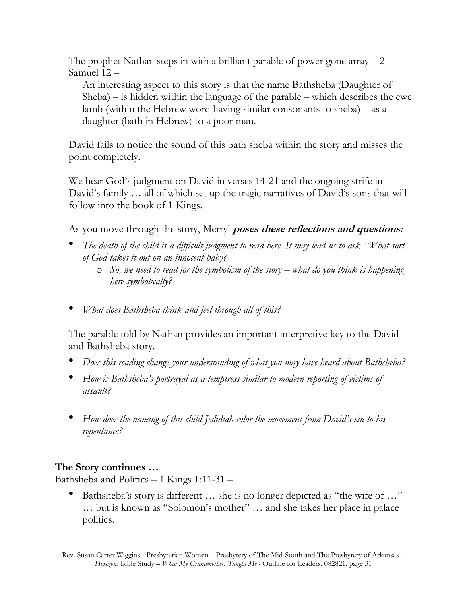The prophet Nathan steps in with a brilliant parable of power gone array  $-2$ Samuel 12 –

An interesting aspect to this story is that the name Bathsheba (Daughter of Sheba) – is hidden within the language of the parable – which describes the ewe lamb (within the Hebrew word having similar consonants to sheba) – as a daughter (bath in Hebrew) to a poor man.

David fails to notice the sound of this bath sheba within the story and misses the point completely.

We hear God's judgment on David in verses 14-21 and the ongoing strife in David's family … all of which set up the tragic narratives of David's sons that will follow into the book of 1 Kings.

As you move through the story, Merryl **poses these reflections and questions:**

- *The death of the child is a difficult judgment to read here. It may lead us to ask "What sort of God takes it out on an innocent baby?* 
	- o *So, we need to read for the symbolism of the story – what do you think is happening here symbolically?*
- *What does Bathsheba think and feel through all of this?*

The parable told by Nathan provides an important interpretive key to the David and Bathsheba story.

- *Does this reading change your understanding of what you may have heard about Bathsheba?*
- *How is Bathsheba's portrayal as a temptress similar to modern reporting of victims of assault?*
- *How does the naming of this child Jedidiah color the movement from David's sin to his repentance?*

#### **The Story continues …**

Bathsheba and Politics – 1 Kings 1:11-31 –

Bathsheba's story is different ... she is no longer depicted as "the wife of ..." … but is known as "Solomon's mother" … and she takes her place in palace politics.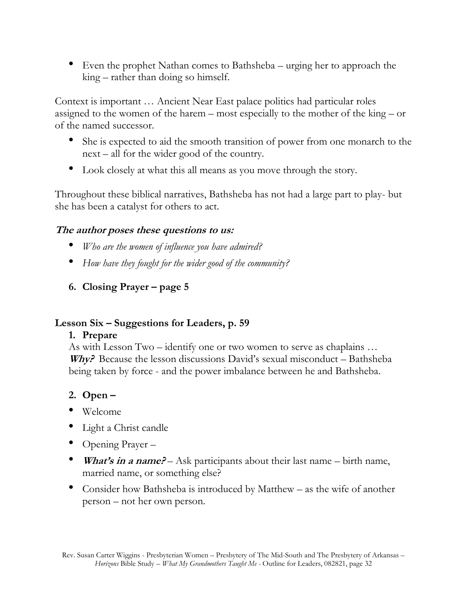• Even the prophet Nathan comes to Bathsheba – urging her to approach the king – rather than doing so himself.

Context is important … Ancient Near East palace politics had particular roles assigned to the women of the harem – most especially to the mother of the king – or of the named successor.

- She is expected to aid the smooth transition of power from one monarch to the next – all for the wider good of the country.
- Look closely at what this all means as you move through the story.

Throughout these biblical narratives, Bathsheba has not had a large part to play- but she has been a catalyst for others to act.

#### **The author poses these questions to us:**

- *Who are the women of influence you have admired?*
- *How have they fought for the wider good of the community?*
- **6. Closing Prayer – page 5**

#### **Lesson Six – Suggestions for Leaders, p. 59**

#### **1. Prepare**

As with Lesson Two – identify one or two women to serve as chaplains … **Why?** Because the lesson discussions David's sexual misconduct – Bathsheba being taken by force - and the power imbalance between he and Bathsheba.

#### **2. Open –**

- Welcome
- Light a Christ candle
- Opening Prayer –
- **What's in a name?** Ask participants about their last name birth name, married name, or something else?
- Consider how Bathsheba is introduced by Matthew as the wife of another person – not her own person.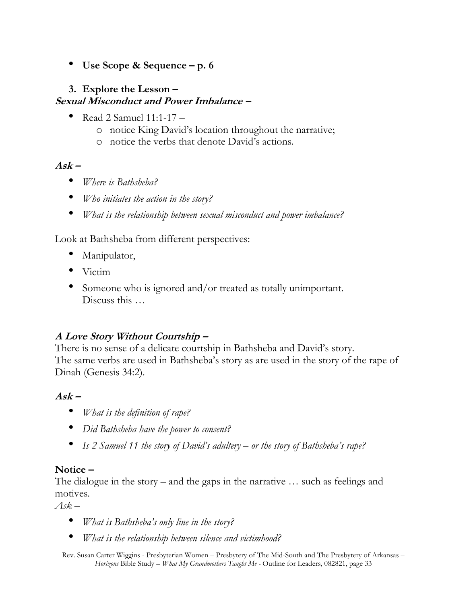• **Use Scope & Sequence – p. 6**

# **3. Explore the Lesson –**

### **Sexual Misconduct and Power Imbalance –**

- Read 2 Samuel  $11:1-17$ 
	- o notice King David's location throughout the narrative;
	- o notice the verbs that denote David's actions.

## $A$ sk –

- *Where is Bathsheba?*
- *Who initiates the action in the story?*
- *What is the relationship between sexual misconduct and power imbalance?*

Look at Bathsheba from different perspectives:

- Manipulator,
- Victim
- Someone who is ignored and/or treated as totally unimportant. Discuss this …

## **A Love Story Without Courtship –**

There is no sense of a delicate courtship in Bathsheba and David's story. The same verbs are used in Bathsheba's story as are used in the story of the rape of Dinah (Genesis 34:2).

## $Ask -$

- *What is the definition of rape?*
- *Did Bathsheba have the power to consent?*
- *Is 2 Samuel 11 the story of David's adultery – or the story of Bathsheba's rape?*

## **Notice –**

The dialogue in the story – and the gaps in the narrative … such as feelings and motives.

*Ask –*

- *What is Bathsheba's only line in the story?*
- *What is the relationship between silence and victimhood?*

Rev. Susan Carter Wiggins - Presbyterian Women – Presbytery of The Mid-South and The Presbytery of Arkansas – *Horizons* Bible Study – *What My Grandmothers Taught Me -* Outline for Leaders, 082821, page 33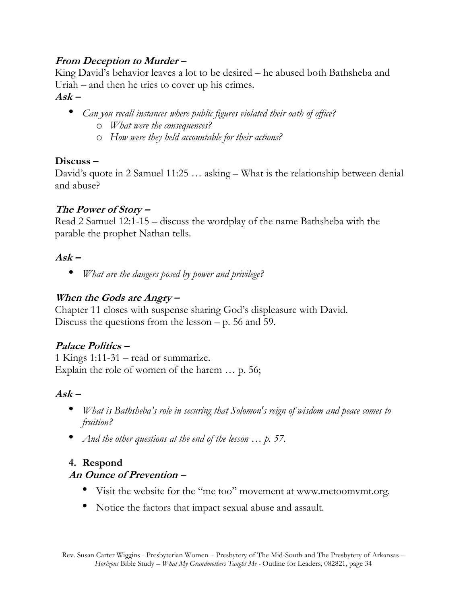### **From Deception to Murder –**

King David's behavior leaves a lot to be desired – he abused both Bathsheba and Uriah – and then he tries to cover up his crimes.  $Ask -$ 

- *Can you recall instances where public figures violated their oath of office?*
	- o *What were the consequences?*
	- o *How were they held accountable for their actions?*

#### **Discuss –**

David's quote in 2 Samuel 11:25 … asking – What is the relationship between denial and abuse?

## **The Power of Story –**

Read 2 Samuel 12:1-15 – discuss the wordplay of the name Bathsheba with the parable the prophet Nathan tells.

## **Ask –**

• *What are the dangers posed by power and privilege?* 

## **When the Gods are Angry –**

Chapter 11 closes with suspense sharing God's displeasure with David. Discuss the questions from the lesson  $- p$ . 56 and 59.

## **Palace Politics –**

1 Kings 1:11-31 – read or summarize. Explain the role of women of the harem … p. 56;

## $Ask -$

- *What is Bathsheba's role in securing that Solomon's reign of wisdom and peace comes to fruition?*
- *And the other questions at the end of the lesson … p. 57.*

## **4. Respond**

#### **An Ounce of Prevention –**

- Visit the website for the "me too" movement at www.metoomvmt.org.
- Notice the factors that impact sexual abuse and assault.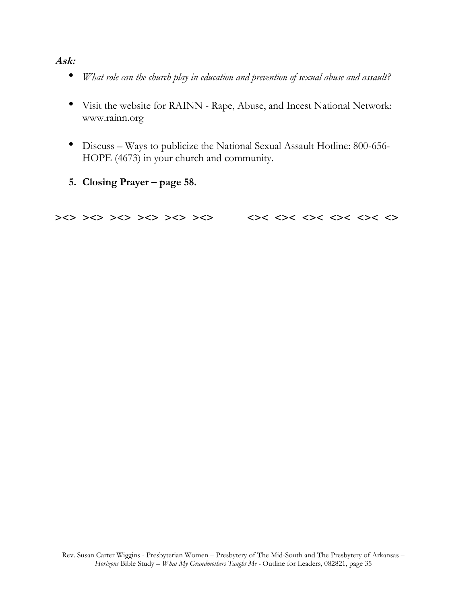#### **Ask:**

- *What role can the church play in education and prevention of sexual abuse and assault?*
- Visit the website for RAINN Rape, Abuse, and Incest National Network: www.rainn.org
- Discuss Ways to publicize the National Sexual Assault Hotline: 800-656- HOPE (4673) in your church and community.
- **5. Closing Prayer – page 58.**

|  |  |  | $\langle \rangle$ < < $\rangle$ < < $\langle \rangle$ < < $\langle \rangle$ < < $\langle \rangle$ |  |  |  |
|--|--|--|---------------------------------------------------------------------------------------------------|--|--|--|
|  |  |  |                                                                                                   |  |  |  |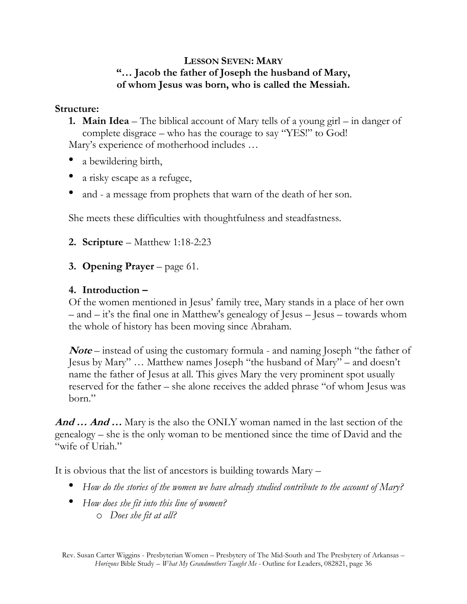### **LESSON SEVEN: MARY "… Jacob the father of Joseph the husband of Mary, of whom Jesus was born, who is called the Messiah.**

#### **Structure:**

- **1. Main Idea** The biblical account of Mary tells of a young girl in danger of complete disgrace – who has the courage to say "YES!" to God! Mary's experience of motherhood includes …
- a bewildering birth,
- a risky escape as a refugee,
- and a message from prophets that warn of the death of her son.

She meets these difficulties with thoughtfulness and steadfastness.

- **2. Scripture** Matthew 1:18-2:23
- **3. Opening Prayer** page 61.

### **4. Introduction –**

Of the women mentioned in Jesus' family tree, Mary stands in a place of her own – and – it's the final one in Matthew's genealogy of Jesus – Jesus – towards whom the whole of history has been moving since Abraham.

**Note** – instead of using the customary formula - and naming Joseph "the father of Jesus by Mary" … Matthew names Joseph "the husband of Mary" – and doesn't name the father of Jesus at all. This gives Mary the very prominent spot usually reserved for the father – she alone receives the added phrase "of whom Jesus was born."

And ... And ... Mary is the also the ONLY woman named in the last section of the genealogy – she is the only woman to be mentioned since the time of David and the "wife of Uriah."

It is obvious that the list of ancestors is building towards Mary –

- *How do the stories of the women we have already studied contribute to the account of Mary?*
- *How does she fit into this line of women?* o *Does she fit at all?*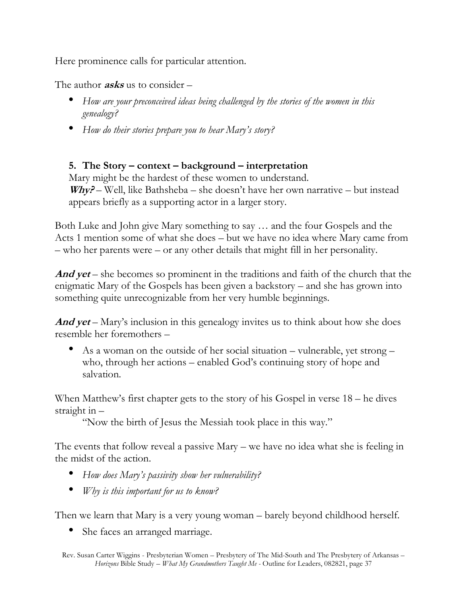Here prominence calls for particular attention.

The author **asks** us to consider –

- *How are your preconceived ideas being challenged by the stories of the women in this genealogy?*
- *How do their stories prepare you to hear Mary's story?*

## **5. The Story – context – background – interpretation**

Mary might be the hardest of these women to understand. **Why?** – Well, like Bathsheba – she doesn't have her own narrative – but instead appears briefly as a supporting actor in a larger story.

Both Luke and John give Mary something to say … and the four Gospels and the Acts 1 mention some of what she does – but we have no idea where Mary came from – who her parents were – or any other details that might fill in her personality.

And yet – she becomes so prominent in the traditions and faith of the church that the enigmatic Mary of the Gospels has been given a backstory – and she has grown into something quite unrecognizable from her very humble beginnings.

And yet – Mary's inclusion in this genealogy invites us to think about how she does resemble her foremothers –

• As a woman on the outside of her social situation – vulnerable, yet strong – who, through her actions – enabled God's continuing story of hope and salvation.

When Matthew's first chapter gets to the story of his Gospel in verse 18 – he dives straight in –

"Now the birth of Jesus the Messiah took place in this way."

The events that follow reveal a passive Mary – we have no idea what she is feeling in the midst of the action.

- *How does Mary's passivity show her vulnerability?*
- *Why is this important for us to know?*

Then we learn that Mary is a very young woman – barely beyond childhood herself.

• She faces an arranged marriage.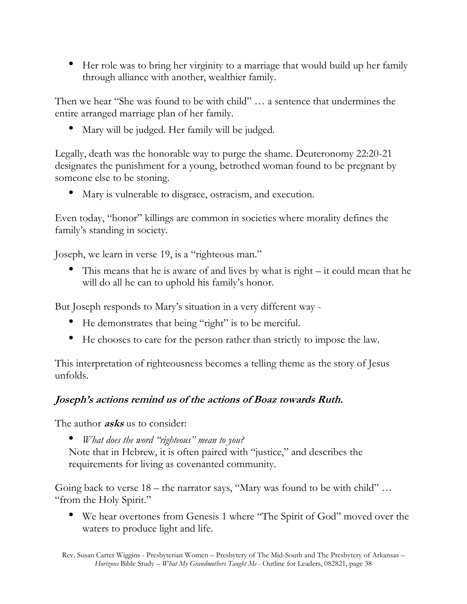• Her role was to bring her virginity to a marriage that would build up her family through alliance with another, wealthier family.

Then we hear "She was found to be with child" … a sentence that undermines the entire arranged marriage plan of her family.

• Mary will be judged. Her family will be judged.

Legally, death was the honorable way to purge the shame. Deuteronomy 22:20-21 designates the punishment for a young, betrothed woman found to be pregnant by someone else to be stoning.

• Mary is vulnerable to disgrace, ostracism, and execution.

Even today, "honor" killings are common in societies where morality defines the family's standing in society.

Joseph, we learn in verse 19, is a "righteous man."

• This means that he is aware of and lives by what is right – it could mean that he will do all he can to uphold his family's honor.

But Joseph responds to Mary's situation in a very different way -

- He demonstrates that being "right" is to be merciful.
- He chooses to care for the person rather than strictly to impose the law.

This interpretation of righteousness becomes a telling theme as the story of Jesus unfolds.

## **Joseph's actions remind us of the actions of Boaz towards Ruth.**

The author **asks** us to consider:

• *What does the word "righteous" mean to you?*

Note that in Hebrew, it is often paired with "justice," and describes the requirements for living as covenanted community.

Going back to verse 18 – the narrator says, "Mary was found to be with child" … "from the Holy Spirit."

• We hear overtones from Genesis 1 where "The Spirit of God" moved over the waters to produce light and life.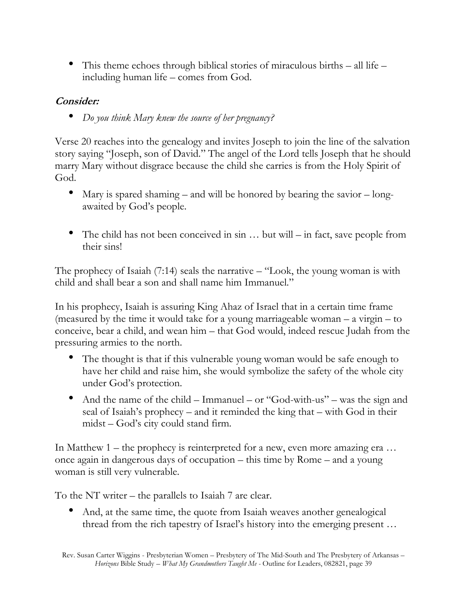• This theme echoes through biblical stories of miraculous births – all life – including human life – comes from God.

## **Consider:**

• *Do you think Mary knew the source of her pregnancy?*

Verse 20 reaches into the genealogy and invites Joseph to join the line of the salvation story saying "Joseph, son of David." The angel of the Lord tells Joseph that he should marry Mary without disgrace because the child she carries is from the Holy Spirit of God.

- Mary is spared shaming and will be honored by bearing the savior longawaited by God's people.
- The child has not been conceived in  $sin$   $\ldots$  but will in fact, save people from their sins!

The prophecy of Isaiah  $(7:14)$  seals the narrative  $-$  "Look, the young woman is with child and shall bear a son and shall name him Immanuel."

In his prophecy, Isaiah is assuring King Ahaz of Israel that in a certain time frame (measured by the time it would take for a young marriageable woman – a virgin – to conceive, bear a child, and wean him – that God would, indeed rescue Judah from the pressuring armies to the north.

- The thought is that if this vulnerable young woman would be safe enough to have her child and raise him, she would symbolize the safety of the whole city under God's protection.
- And the name of the child Immanuel or "God-with-us" was the sign and seal of Isaiah's prophecy – and it reminded the king that – with God in their midst – God's city could stand firm.

In Matthew 1 – the prophecy is reinterpreted for a new, even more amazing era … once again in dangerous days of occupation – this time by Rome – and a young woman is still very vulnerable.

To the NT writer – the parallels to Isaiah 7 are clear.

• And, at the same time, the quote from Isaiah weaves another genealogical thread from the rich tapestry of Israel's history into the emerging present …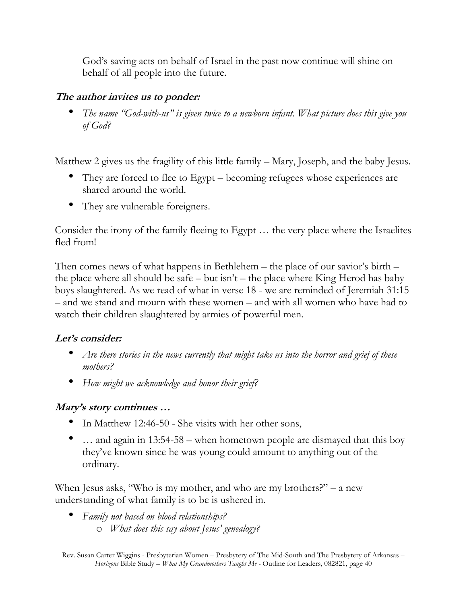God's saving acts on behalf of Israel in the past now continue will shine on behalf of all people into the future.

## **The author invites us to ponder:**

• *The name "God-with-us" is given twice to a newborn infant. What picture does this give you of God?*

Matthew 2 gives us the fragility of this little family – Mary, Joseph, and the baby Jesus.

- They are forced to flee to Egypt becoming refugees whose experiences are shared around the world.
- They are vulnerable foreigners.

Consider the irony of the family fleeing to Egypt … the very place where the Israelites fled from!

Then comes news of what happens in Bethlehem – the place of our savior's birth – the place where all should be safe – but isn't – the place where King Herod has baby boys slaughtered. As we read of what in verse 18 - we are reminded of Jeremiah 31:15 – and we stand and mourn with these women – and with all women who have had to watch their children slaughtered by armies of powerful men.

# **Let's consider:**

- *Are there stories in the news currently that might take us into the horror and grief of these mothers?*
- *How might we acknowledge and honor their grief?*

## **Mary's story continues …**

- In Matthew 12:46-50 She visits with her other sons,
- $\ldots$  and again in 13:54-58 when hometown people are dismayed that this boy they've known since he was young could amount to anything out of the ordinary.

When Jesus asks, "Who is my mother, and who are my brothers?" – a new understanding of what family is to be is ushered in.

• *Family not based on blood relationships?*  o *What does this say about Jesus' genealogy?* 

Rev. Susan Carter Wiggins - Presbyterian Women – Presbytery of The Mid-South and The Presbytery of Arkansas – *Horizons* Bible Study – *What My Grandmothers Taught Me -* Outline for Leaders, 082821, page 40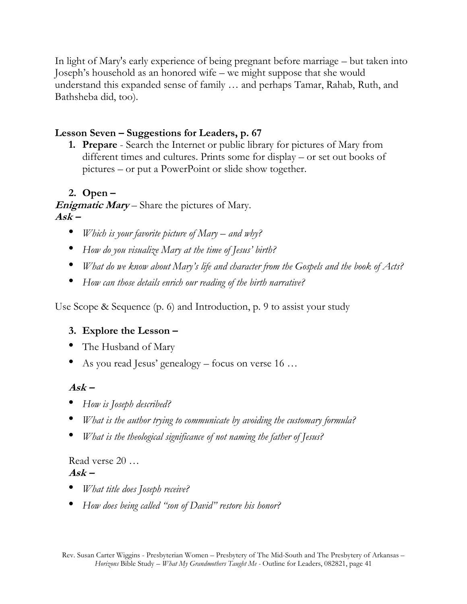In light of Mary's early experience of being pregnant before marriage – but taken into Joseph's household as an honored wife – we might suppose that she would understand this expanded sense of family … and perhaps Tamar, Rahab, Ruth, and Bathsheba did, too).

## **Lesson Seven – Suggestions for Leaders, p. 67**

**1. Prepare** - Search the Internet or public library for pictures of Mary from different times and cultures. Prints some for display – or set out books of pictures – or put a PowerPoint or slide show together.

# **2. Open –**

**Enigmatic Mary** – Share the pictures of Mary. **Ask –**

- *Which is your favorite picture of Mary and why?*
- *How do you visualize Mary at the time of Jesus' birth?*
- *What do we know about Mary's life and character from the Gospels and the book of Acts?*
- *How can those details enrich our reading of the birth narrative?*

Use Scope & Sequence (p. 6) and Introduction, p. 9 to assist your study

# **3. Explore the Lesson –**

- The Husband of Mary
- As you read Jesus' genealogy focus on verse 16 ...

# $Ask -$

- *How is Joseph described?*
- *What is the author trying to communicate by avoiding the customary formula?*
- *What is the theological significance of not naming the father of Jesus?*

## Read verse 20 …  $Ask -$

- *What title does Joseph receive?*
- *How does being called "son of David" restore his honor?*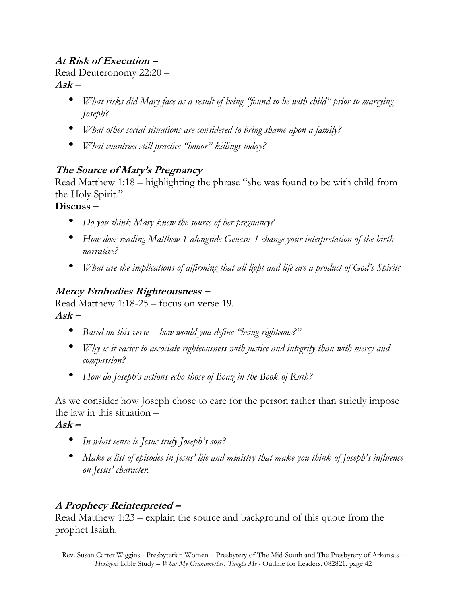## **At Risk of Execution –**

Read Deuteronomy 22:20 –  $Ask -$ 

- *What risks did Mary face as a result of being "found to be with child" prior to marrying Joseph?*
- *What other social situations are considered to bring shame upon a family?*
- *What countries still practice "honor" killings today?*

## **The Source of Mary's Pregnancy**

Read Matthew 1:18 – highlighting the phrase "she was found to be with child from the Holy Spirit."

### **Discuss –**

- *Do you think Mary knew the source of her pregnancy?*
- *How does reading Matthew 1 alongside Genesis 1 change your interpretation of the birth narrative?*
- *What are the implications of affirming that all light and life are a product of God's Spirit?*

## **Mercy Embodies Righteousness –**

Read Matthew 1:18-25 – focus on verse 19. **Ask –**

- *Based on this verse – how would you define "being righteous?"*
- *Why is it easier to associate righteousness with justice and integrity than with mercy and compassion?*
- *How do Joseph's actions echo those of Boaz in the Book of Ruth?*

As we consider how Joseph chose to care for the person rather than strictly impose the law in this situation –

#### **Ask –**

- *In what sense is Jesus truly Joseph's son?*
- *Make a list of episodes in Jesus' life and ministry that make you think of Joseph's influence on Jesus' character.*

## **A Prophecy Reinterpreted –**

Read Matthew 1:23 – explain the source and background of this quote from the prophet Isaiah.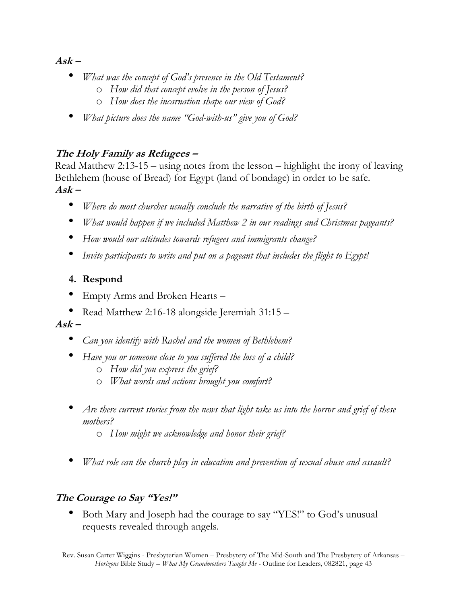#### **Ask –**

- *What was the concept of God's presence in the Old Testament?* 
	- o *How did that concept evolve in the person of Jesus?*
	- o *How does the incarnation shape our view of God?*
- *What picture does the name "God-with-us" give you of God?*

## **The Holy Family as Refugees –**

Read Matthew 2:13-15 – using notes from the lesson – highlight the irony of leaving Bethlehem (house of Bread) for Egypt (land of bondage) in order to be safe.  $Ask -$ 

- *Where do most churches usually conclude the narrative of the birth of Jesus?*
- *What would happen if we included Matthew 2 in our readings and Christmas pageants?*
- *How would our attitudes towards refugees and immigrants change?*
- *Invite participants to write and put on a pageant that includes the flight to Egypt!*

# **4. Respond**

- Empty Arms and Broken Hearts –
- Read Matthew 2:16-18 alongside Jeremiah 31:15 –

## **Ask –**

- *Can you identify with Rachel and the women of Bethlehem?*
- *Have you or someone close to you suffered the loss of a child?*
	- o *How did you express the grief?*
	- o *What words and actions brought you comfort?*
- *Are there current stories from the news that light take us into the horror and grief of these mothers?*
	- o *How might we acknowledge and honor their grief?*
- *What role can the church play in education and prevention of sexual abuse and assault?*

## **The Courage to Say "Yes!"**

• Both Mary and Joseph had the courage to say "YES!" to God's unusual requests revealed through angels.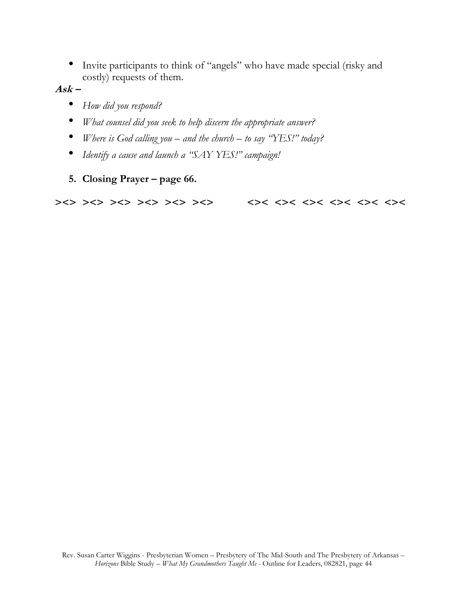• Invite participants to think of "angels" who have made special (risky and costly) requests of them.

**Ask –**

- *How did you respond?*
- *What counsel did you seek to help discern the appropriate answer?*
- *Where is God calling you – and the church – to say "YES!" today?*
- *Identify a cause and launch a "SAY YES!" campaign!*
- **5. Closing Prayer – page 66.**

**><> ><> ><> ><> ><> ><> <>< <>< <>< <>< <>< <><**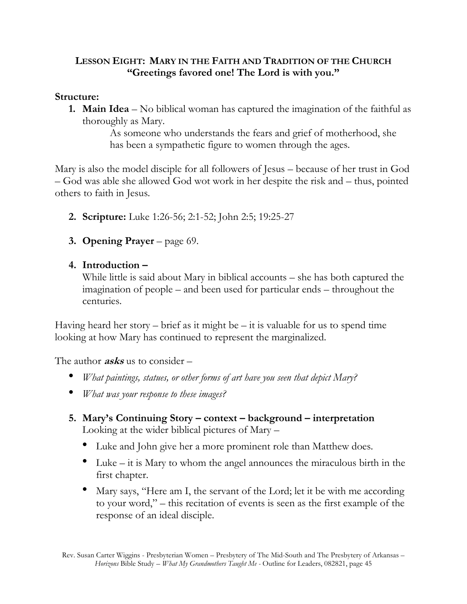### **LESSON EIGHT: MARY IN THE FAITH AND TRADITION OF THE CHURCH "Greetings favored one! The Lord is with you."**

### **Structure:**

**1. Main Idea** – No biblical woman has captured the imagination of the faithful as thoroughly as Mary.

> As someone who understands the fears and grief of motherhood, she has been a sympathetic figure to women through the ages.

Mary is also the model disciple for all followers of Jesus – because of her trust in God – God was able she allowed God wot work in her despite the risk and – thus, pointed others to faith in Jesus.

- **2. Scripture:** Luke 1:26-56; 2:1-52; John 2:5; 19:25-27
- **3. Opening Prayer** page 69.

## **4. Introduction –**

While little is said about Mary in biblical accounts – she has both captured the imagination of people – and been used for particular ends – throughout the centuries.

Having heard her story – brief as it might be – it is valuable for us to spend time looking at how Mary has continued to represent the marginalized.

The author **asks** us to consider –

- *What paintings, statues, or other forms of art have you seen that depict Mary?*
- *What was your response to these images?*
- **5. Mary's Continuing Story – context – background – interpretation** Looking at the wider biblical pictures of Mary –
	- Luke and John give her a more prominent role than Matthew does.
	- Luke it is Mary to whom the angel announces the miraculous birth in the first chapter.
	- Mary says, "Here am I, the servant of the Lord; let it be with me according to your word," – this recitation of events is seen as the first example of the response of an ideal disciple.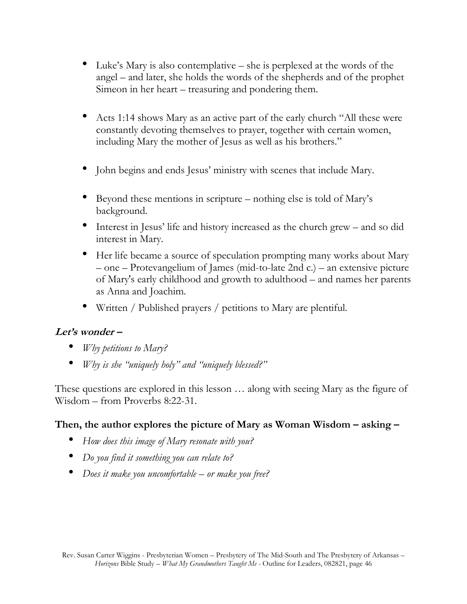- Luke's Mary is also contemplative she is perplexed at the words of the angel – and later, she holds the words of the shepherds and of the prophet Simeon in her heart – treasuring and pondering them.
- Acts 1:14 shows Mary as an active part of the early church "All these were constantly devoting themselves to prayer, together with certain women, including Mary the mother of Jesus as well as his brothers."
- John begins and ends Jesus' ministry with scenes that include Mary.
- Beyond these mentions in scripture nothing else is told of Mary's background.
- Interest in Jesus' life and history increased as the church grew and so did interest in Mary.
- Her life became a source of speculation prompting many works about Mary – one – Protevangelium of James (mid-to-late 2nd c.) – an extensive picture of Mary's early childhood and growth to adulthood – and names her parents as Anna and Joachim.
- Written / Published prayers / petitions to Mary are plentiful.

#### **Let's wonder –**

- *Why petitions to Mary?*
- *Why is she "uniquely holy" and "uniquely blessed?"*

These questions are explored in this lesson … along with seeing Mary as the figure of Wisdom – from Proverbs 8:22-31.

#### **Then, the author explores the picture of Mary as Woman Wisdom – asking –**

- *How does this image of Mary resonate with you?*
- *Do you find it something you can relate to?*
- *Does it make you uncomfortable – or make you free?*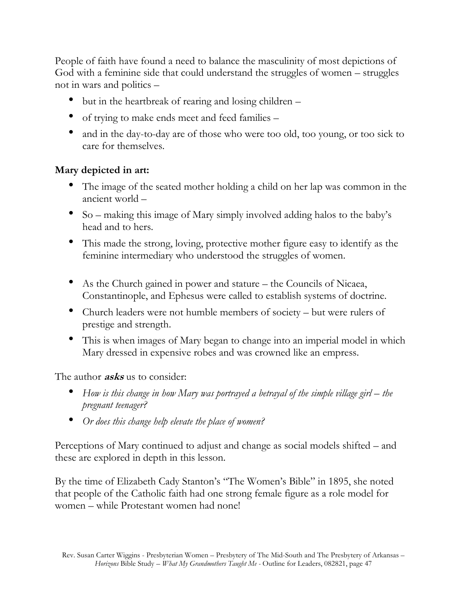People of faith have found a need to balance the masculinity of most depictions of God with a feminine side that could understand the struggles of women – struggles not in wars and politics –

- but in the heartbreak of rearing and losing children –
- of trying to make ends meet and feed families –
- and in the day-to-day are of those who were too old, too young, or too sick to care for themselves.

### **Mary depicted in art:**

- The image of the seated mother holding a child on her lap was common in the ancient world –
- So making this image of Mary simply involved adding halos to the baby's head and to hers.
- This made the strong, loving, protective mother figure easy to identify as the feminine intermediary who understood the struggles of women.
- As the Church gained in power and stature the Councils of Nicaea, Constantinople, and Ephesus were called to establish systems of doctrine.
- Church leaders were not humble members of society but were rulers of prestige and strength.
- This is when images of Mary began to change into an imperial model in which Mary dressed in expensive robes and was crowned like an empress.

The author **asks** us to consider:

- How is this change in how Mary was portrayed a betrayal of the simple village girl the *pregnant teenager?*
- *Or does this change help elevate the place of women?*

Perceptions of Mary continued to adjust and change as social models shifted – and these are explored in depth in this lesson.

By the time of Elizabeth Cady Stanton's "The Women's Bible" in 1895, she noted that people of the Catholic faith had one strong female figure as a role model for women – while Protestant women had none!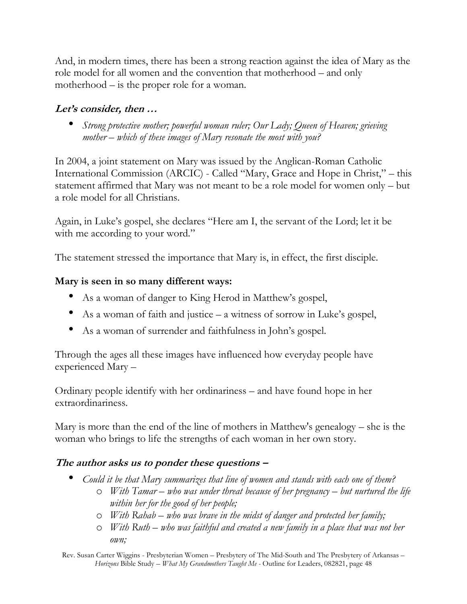And, in modern times, there has been a strong reaction against the idea of Mary as the role model for all women and the convention that motherhood – and only motherhood – is the proper role for a woman.

## **Let's consider, then …**

• *Strong protective mother; powerful woman ruler; Our Lady; Queen of Heaven; grieving mother – which of these images of Mary resonate the most with you?* 

In 2004, a joint statement on Mary was issued by the Anglican-Roman Catholic International Commission (ARCIC) - Called "Mary, Grace and Hope in Christ," – this statement affirmed that Mary was not meant to be a role model for women only – but a role model for all Christians.

Again, in Luke's gospel, she declares "Here am I, the servant of the Lord; let it be with me according to your word."

The statement stressed the importance that Mary is, in effect, the first disciple.

#### **Mary is seen in so many different ways:**

- As a woman of danger to King Herod in Matthew's gospel,
- As a woman of faith and justice a witness of sorrow in Luke's gospel,
- As a woman of surrender and faithfulness in John's gospel.

Through the ages all these images have influenced how everyday people have experienced Mary –

Ordinary people identify with her ordinariness – and have found hope in her extraordinariness.

Mary is more than the end of the line of mothers in Matthew's genealogy – she is the woman who brings to life the strengths of each woman in her own story.

#### **The author asks us to ponder these questions –**

- *Could it be that Mary summarizes that line of women and stands with each one of them?*
	- o *With Tamar – who was under threat because of her pregnancy – but nurtured the life within her for the good of her people;*
	- o *With Rahab – who was brave in the midst of danger and protected her family;*
	- o *With Ruth – who was faithful and created a new family in a place that was not her own;*

Rev. Susan Carter Wiggins - Presbyterian Women – Presbytery of The Mid-South and The Presbytery of Arkansas – *Horizons* Bible Study – *What My Grandmothers Taught Me -* Outline for Leaders, 082821, page 48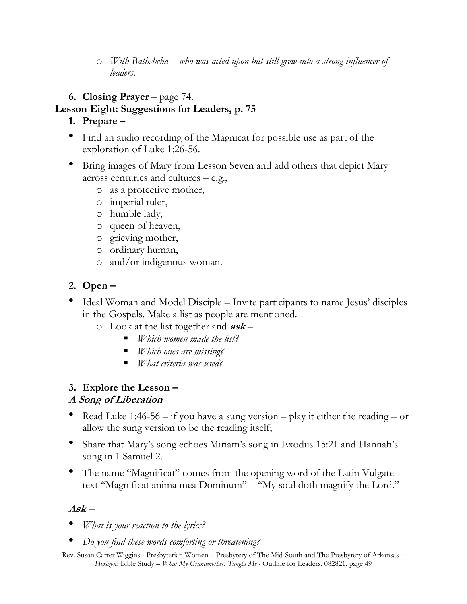- o *With Bathsheba – who was acted upon but still grew into a strong influencer of leaders.*
- **6. Closing Prayer** page 74.

## **Lesson Eight: Suggestions for Leaders, p. 75**

- **1. Prepare –**
- Find an audio recording of the Magnicat for possible use as part of the exploration of Luke 1:26-56.
- Bring images of Mary from Lesson Seven and add others that depict Mary across centuries and cultures – e.g.,
	- o as a protective mother,
	- o imperial ruler,
	- o humble lady,
	- o queen of heaven,
	- o grieving mother,
	- o ordinary human,
	- o and/or indigenous woman.
- **2. Open –**
- Ideal Woman and Model Disciple Invite participants to name Jesus' disciples in the Gospels. Make a list as people are mentioned.
	- o Look at the list together and **ask**
		- *Which women made the list?*
		- *Which ones are missing?*
		- *What criteria was used?*

## **3. Explore the Lesson –**

## **A Song of Liberation**

- Read Luke 1:46-56 if you have a sung version play it either the reading or allow the sung version to be the reading itself;
- Share that Mary's song echoes Miriam's song in Exodus 15:21 and Hannah's song in 1 Samuel 2.
- The name "Magnificat" comes from the opening word of the Latin Vulgate text "Magnificat anima mea Dominum" – "My soul doth magnify the Lord."

## $Ask -$

- *What is your reaction to the lyrics?*
- *Do you find these words comforting or threatening?*
- Rev. Susan Carter Wiggins Presbyterian Women Presbytery of The Mid-South and The Presbytery of Arkansas *Horizons* Bible Study – *What My Grandmothers Taught Me -* Outline for Leaders, 082821, page 49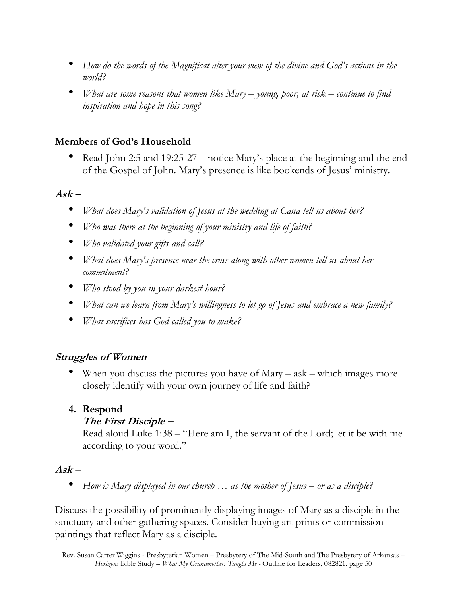- How do the words of the Magnificat alter your view of the divine and God's actions in the *world?*
- *What are some reasons that women like Mary young, poor, at risk continue to find inspiration and hope in this song?*

### **Members of God's Household**

• Read John 2:5 and 19:25-27 – notice Mary's place at the beginning and the end of the Gospel of John. Mary's presence is like bookends of Jesus' ministry.

#### $Ask -$

- *What does Mary's validation of Jesus at the wedding at Cana tell us about her?*
- *Who was there at the beginning of your ministry and life of faith?*
- *Who validated your gifts and call?*
- *What does Mary's presence near the cross along with other women tell us about her commitment?*
- *Who stood by you in your darkest hour?*
- *What can we learn from Mary's willingness to let go of Jesus and embrace a new family?*
- *What sacrifices has God called you to make?*

## **Struggles of Women**

• When you discuss the pictures you have of Mary – ask – which images more closely identify with your own journey of life and faith?

## **4. Respond**

## **The First Disciple –**

Read aloud Luke 1:38 – "Here am I, the servant of the Lord; let it be with me according to your word."

## **Ask –**

• *How is Mary displayed in our church … as the mother of Jesus – or as a disciple?*

Discuss the possibility of prominently displaying images of Mary as a disciple in the sanctuary and other gathering spaces. Consider buying art prints or commission paintings that reflect Mary as a disciple.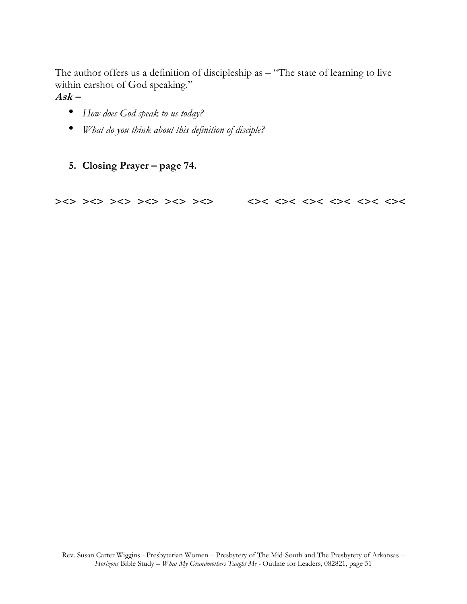The author offers us a definition of discipleship as – "The state of learning to live within earshot of God speaking." **Ask –**

- *How does God speak to us today?*
- *What do you think about this definition of disciple?*
- **5. Closing Prayer – page 74.**

**><> ><> ><> ><> ><> ><> <>< <>< <>< <>< <>< <><**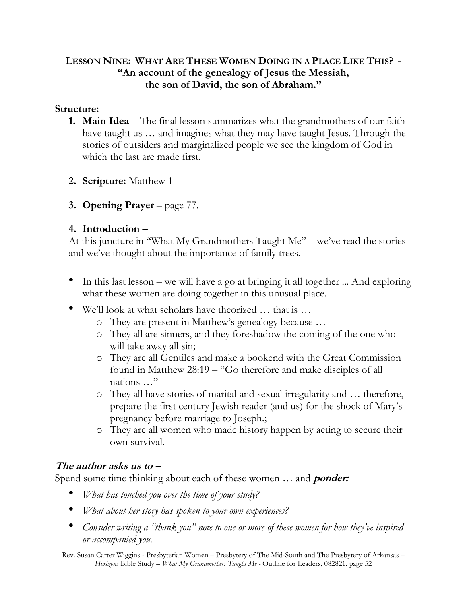### LESSON NINE: WHAT ARE THESE WOMEN DOING IN A PLACE LIKE THIS? -**"An account of the genealogy of Jesus the Messiah, the son of David, the son of Abraham."**

### **Structure:**

- **1. Main Idea** The final lesson summarizes what the grandmothers of our faith have taught us ... and imagines what they may have taught Jesus. Through the stories of outsiders and marginalized people we see the kingdom of God in which the last are made first.
- **2. Scripture:** Matthew 1
- **3. Opening Prayer** page 77.

## **4. Introduction –**

At this juncture in "What My Grandmothers Taught Me" – we've read the stories and we've thought about the importance of family trees.

- In this last lesson  $-$  we will have a go at bringing it all together  $\ldots$ . And exploring what these women are doing together in this unusual place.
- We'll look at what scholars have theorized … that is …
	- o They are present in Matthew's genealogy because …
	- o They all are sinners, and they foreshadow the coming of the one who will take away all sin;
	- o They are all Gentiles and make a bookend with the Great Commission found in Matthew 28:19 – "Go therefore and make disciples of all nations …"
	- o They all have stories of marital and sexual irregularity and … therefore, prepare the first century Jewish reader (and us) for the shock of Mary's pregnancy before marriage to Joseph.;
	- o They are all women who made history happen by acting to secure their own survival.

## **The author asks us to –**

Spend some time thinking about each of these women … and **ponder:**

- *What has touched you over the time of your study?*
- *What about her story has spoken to your own experiences?*
- *Consider writing a "thank you" note to one or more of these women for how they've inspired or accompanied you.*

Rev. Susan Carter Wiggins - Presbyterian Women – Presbytery of The Mid-South and The Presbytery of Arkansas – *Horizons* Bible Study – *What My Grandmothers Taught Me -* Outline for Leaders, 082821, page 52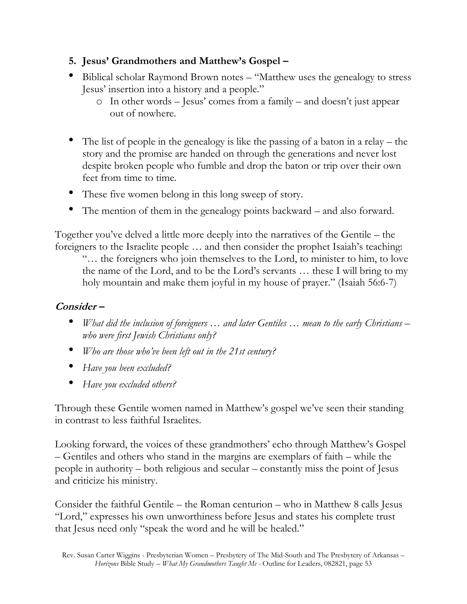## **5. Jesus' Grandmothers and Matthew's Gospel –**

- Biblical scholar Raymond Brown notes "Matthew uses the genealogy to stress Jesus' insertion into a history and a people."
	- o In other words Jesus' comes from a family and doesn't just appear out of nowhere.
- The list of people in the genealogy is like the passing of a baton in a relay the story and the promise are handed on through the generations and never lost despite broken people who fumble and drop the baton or trip over their own feet from time to time.
- These five women belong in this long sweep of story.
- The mention of them in the genealogy points backward and also forward.

Together you've delved a little more deeply into the narratives of the Gentile – the foreigners to the Israelite people … and then consider the prophet Isaiah's teaching:

"… the foreigners who join themselves to the Lord, to minister to him, to love the name of the Lord, and to be the Lord's servants … these I will bring to my holy mountain and make them joyful in my house of prayer." (Isaiah 56:6-7)

# **Consider –**

- *What did the inclusion of foreigners … and later Gentiles … mean to the early Christians – who were first Jewish Christians only?*
- *Who are those who've been left out in the 21st century?*
- *Have you been excluded?*
- *Have you excluded others?*

Through these Gentile women named in Matthew's gospel we've seen their standing in contrast to less faithful Israelites.

Looking forward, the voices of these grandmothers' echo through Matthew's Gospel – Gentiles and others who stand in the margins are exemplars of faith – while the people in authority – both religious and secular – constantly miss the point of Jesus and criticize his ministry.

Consider the faithful Gentile – the Roman centurion – who in Matthew 8 calls Jesus "Lord," expresses his own unworthiness before Jesus and states his complete trust that Jesus need only "speak the word and he will be healed."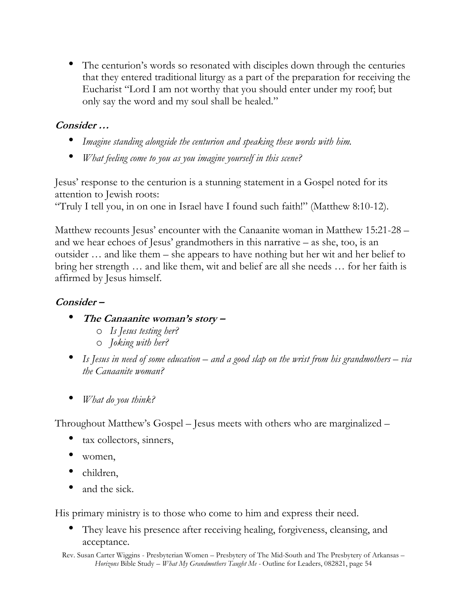• The centurion's words so resonated with disciples down through the centuries that they entered traditional liturgy as a part of the preparation for receiving the Eucharist "Lord I am not worthy that you should enter under my roof; but only say the word and my soul shall be healed."

## **Consider …**

- *Imagine standing alongside the centurion and speaking these words with him.*
- *What feeling come to you as you imagine yourself in this scene?*

Jesus' response to the centurion is a stunning statement in a Gospel noted for its attention to Jewish roots:

"Truly I tell you, in on one in Israel have I found such faith!" (Matthew 8:10-12).

Matthew recounts Jesus' encounter with the Canaanite woman in Matthew 15:21-28 – and we hear echoes of Jesus' grandmothers in this narrative – as she, too, is an outsider … and like them – she appears to have nothing but her wit and her belief to bring her strength … and like them, wit and belief are all she needs … for her faith is affirmed by Jesus himself.

## **Consider –**

- **The Canaanite woman's story –**
	- o *Is Jesus testing her?*
	- o *Joking with her?*
- *Is Jesus in need of some education – and a good slap on the wrist from his grandmothers – via the Canaanite woman?*
- *What do you think?*

Throughout Matthew's Gospel – Jesus meets with others who are marginalized –

- tax collectors, sinners,
- women.
- children,
- and the sick.

His primary ministry is to those who come to him and express their need.

They leave his presence after receiving healing, forgiveness, cleansing, and acceptance.

Rev. Susan Carter Wiggins - Presbyterian Women – Presbytery of The Mid-South and The Presbytery of Arkansas – *Horizons* Bible Study – *What My Grandmothers Taught Me -* Outline for Leaders, 082821, page 54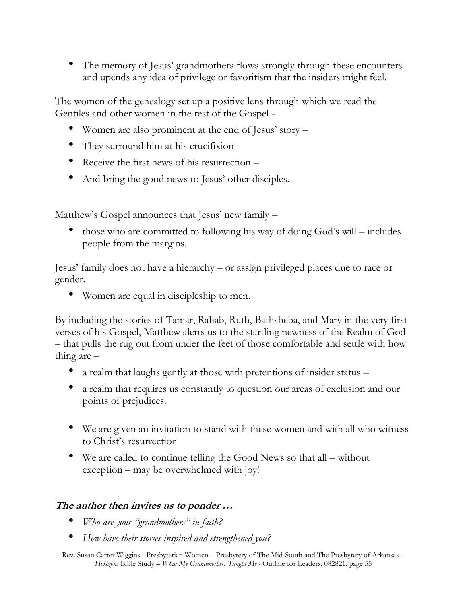• The memory of Jesus' grandmothers flows strongly through these encounters and upends any idea of privilege or favoritism that the insiders might feel.

The women of the genealogy set up a positive lens through which we read the Gentiles and other women in the rest of the Gospel -

- Women are also prominent at the end of Jesus' story –
- They surround him at his crucifixion –
- Receive the first news of his resurrection –
- And bring the good news to Jesus' other disciples.

Matthew's Gospel announces that Jesus' new family –

• those who are committed to following his way of doing God's will – includes people from the margins.

Jesus' family does not have a hierarchy – or assign privileged places due to race or gender.

• Women are equal in discipleship to men.

By including the stories of Tamar, Rahab, Ruth, Bathsheba, and Mary in the very first verses of his Gospel, Matthew alerts us to the startling newness of the Realm of God – that pulls the rug out from under the feet of those comfortable and settle with how thing are –

- a realm that laughs gently at those with pretentions of insider status –
- a realm that requires us constantly to question our areas of exclusion and our points of prejudices.
- We are given an invitation to stand with these women and with all who witness to Christ's resurrection
- We are called to continue telling the Good News so that all without exception – may be overwhelmed with joy!

## **The author then invites us to ponder …**

- *Who are your "grandmothers" in faith?*
- *How have their stories inspired and strengthened you?*

Rev. Susan Carter Wiggins - Presbyterian Women – Presbytery of The Mid-South and The Presbytery of Arkansas – *Horizons* Bible Study – *What My Grandmothers Taught Me -* Outline for Leaders, 082821, page 55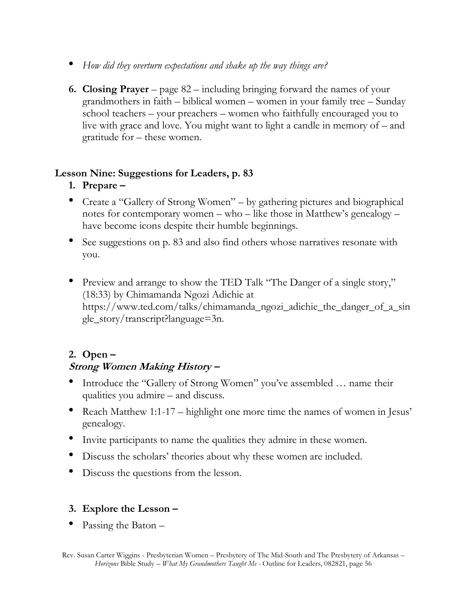- *How did they overturn expectations and shake up the way things are?*
- **6. Closing Prayer** page 82 including bringing forward the names of your grandmothers in faith – biblical women – women in your family tree – Sunday school teachers – your preachers – women who faithfully encouraged you to live with grace and love. You might want to light a candle in memory of – and gratitude for – these women.

### **Lesson Nine: Suggestions for Leaders, p. 83**

- **1. Prepare –**
- Create a "Gallery of Strong Women" by gathering pictures and biographical notes for contemporary women – who – like those in Matthew's genealogy – have become icons despite their humble beginnings.
- See suggestions on p. 83 and also find others whose narratives resonate with you.
- Preview and arrange to show the TED Talk "The Danger of a single story," (18:33) by Chimamanda Ngozi Adichie at https://www.ted.com/talks/chimamanda\_ngozi\_adichie\_the\_danger\_of\_a\_sin gle\_story/transcript?language=3n.

## **2. Open –**

## **Strong Women Making History –**

- Introduce the "Gallery of Strong Women" you've assembled ... name their qualities you admire – and discuss.
- Reach Matthew 1:1-17 highlight one more time the names of women in Jesus' genealogy.
- Invite participants to name the qualities they admire in these women.
- Discuss the scholars' theories about why these women are included.
- Discuss the questions from the lesson.

## **3. Explore the Lesson –**

• Passing the Baton –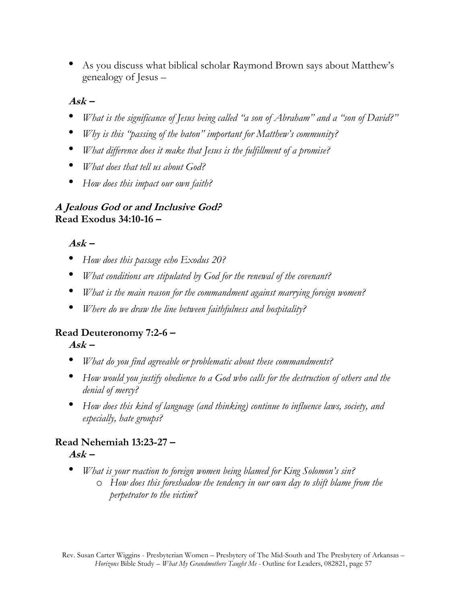• As you discuss what biblical scholar Raymond Brown says about Matthew's genealogy of Jesus –

**Ask –**

- *What is the significance of Jesus being called "a son of Abraham" and a "son of David?"*
- *Why is this "passing of the baton" important for Matthew's community?*
- *What difference does it make that Jesus is the fulfillment of a promise?*
- *What does that tell us about God?*
- *How does this impact our own faith?*

#### **A Jealous God or and Inclusive God? Read Exodus 34:10-16 –**

 $Ask -$ 

- *How does this passage echo Exodus 20?*
- *What conditions are stipulated by God for the renewal of the covenant?*
- *What is the main reason for the commandment against marrying foreign women?*
- *Where do we draw the line between faithfulness and hospitality?*

#### **Read Deuteronomy 7:2-6 –**

#### $Ask -$

- *What do you find agreeable or problematic about these commandments?*
- *How would you justify obedience to a God who calls for the destruction of others and the denial of mercy?*
- *How does this kind of language (and thinking) continue to influence laws, society, and especially, hate groups?*

#### **Read Nehemiah 13:23-27 –**  $Ask -$

- *What is your reaction to foreign women being blamed for King Solomon's sin?*
	- o *How does this foreshadow the tendency in our own day to shift blame from the perpetrator to the victim?*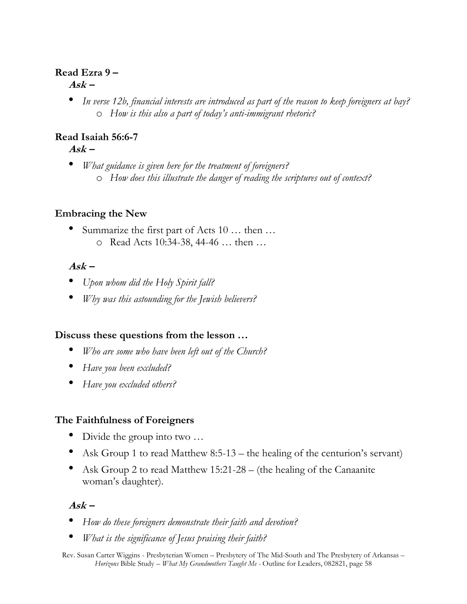# **Read Ezra 9 –**

#### $Ask -$

• *In verse 12b, financial interests are introduced as part of the reason to keep foreigners at bay?* o *How is this also a part of today's anti-immigrant rhetoric?*

#### **Read Isaiah 56:6-7 Ask –**

• *What guidance is given here for the treatment of foreigners?* o *How does this illustrate the danger of reading the scriptures out of context?*

#### **Embracing the New**

• Summarize the first part of Acts 10 ... then ... o Read Acts 10:34-38, 44-46 … then …

#### $Ask -$

- *Upon whom did the Holy Spirit fall?*
- *Why was this astounding for the Jewish believers?*

#### **Discuss these questions from the lesson …**

- *Who are some who have been left out of the Church?*
- *Have you been excluded?*
- *Have you excluded others?*

#### **The Faithfulness of Foreigners**

- Divide the group into two ...
- Ask Group 1 to read Matthew 8:5-13 the healing of the centurion's servant)
- Ask Group 2 to read Matthew 15:21-28 (the healing of the Canaanite woman's daughter).

#### **Ask –**

- *How do these foreigners demonstrate their faith and devotion?*
- *What is the significance of Jesus praising their faith?*
- Rev. Susan Carter Wiggins Presbyterian Women Presbytery of The Mid-South and The Presbytery of Arkansas *Horizons* Bible Study – *What My Grandmothers Taught Me -* Outline for Leaders, 082821, page 58